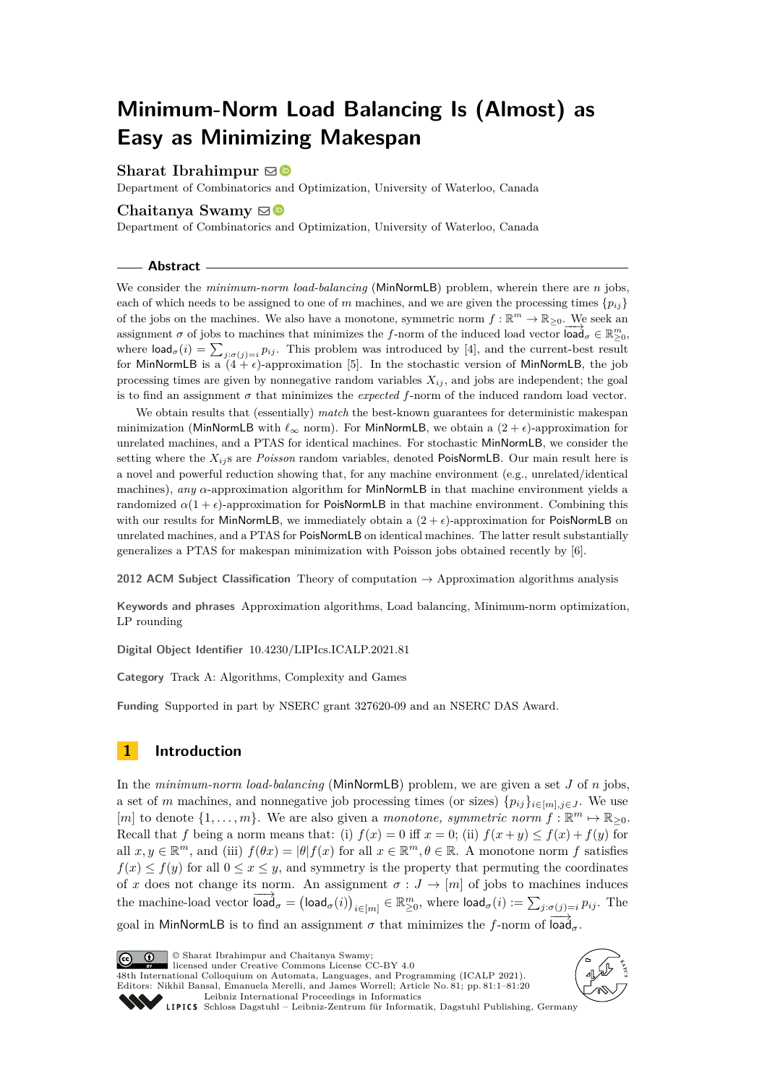# **Minimum-Norm Load Balancing Is (Almost) as Easy as Minimizing Makespan**

# **Sharat Ibrahimpur**  $\boxdot$

Department of Combinatorics and Optimization, University of Waterloo, Canada

# **Chaitanya Swamy**  $\odot$

Department of Combinatorics and Optimization, University of Waterloo, Canada

#### **Abstract**

We consider the *minimum-norm load-balancing* (MinNormLB) problem, wherein there are *n* jobs, each of which needs to be assigned to one of *m* machines, and we are given the processing times  ${p_{ii}}$ of the jobs on the machines. We also have a monotone, symmetric norm  $f : \mathbb{R}^m \to \mathbb{R}_{\geq 0}$ . We seek an assignment *σ* of jobs to machines that minimizes the *f*-norm of the induced load vector  $\text{load}_{\sigma} \in \mathbb{R}_{\geq 0}^m$ , where  $\textsf{load}_{\sigma}(i) = \sum_{j:\sigma(j)=i} p_{ij}$ . This problem was introduced by [\[4\]](#page-19-0), and the current-best result for MinNormLB is a  $(4 + \epsilon)$ -approximation [\[5\]](#page-19-1). In the stochastic version of MinNormLB, the job processing times are given by nonnegative random variables  $X_{ij}$ , and jobs are independent; the goal is to find an assignment  $\sigma$  that minimizes the *expected*  $f$ -norm of the induced random load vector.

We obtain results that (essentially) *match* the best-known guarantees for deterministic makespan minimization (MinNormLB with *ℓ*<sup>∞</sup> norm). For MinNormLB, we obtain a (2 + *ϵ*)-approximation for unrelated machines, and a PTAS for identical machines. For stochastic MinNormLB, we consider the setting where the  $X_{ij}$ s are *Poisson* random variables, denoted PoisNormLB. Our main result here is a novel and powerful reduction showing that, for any machine environment (e.g., unrelated/identical machines), *any α*-approximation algorithm for MinNormLB in that machine environment yields a randomized  $\alpha(1 + \epsilon)$ -approximation for PoisNormLB in that machine environment. Combining this with our results for MinNormLB, we immediately obtain a  $(2 + \epsilon)$ -approximation for PoisNormLB on unrelated machines, and a PTAS for PoisNormLB on identical machines. The latter result substantially generalizes a PTAS for makespan minimization with Poisson jobs obtained recently by [\[6\]](#page-19-2).

**2012 ACM Subject Classification** Theory of computation → Approximation algorithms analysis

**Keywords and phrases** Approximation algorithms, Load balancing, Minimum-norm optimization, LP rounding

**Digital Object Identifier** [10.4230/LIPIcs.ICALP.2021.81](https://doi.org/10.4230/LIPIcs.ICALP.2021.81)

**Category** Track A: Algorithms, Complexity and Games

**Funding** Supported in part by NSERC grant 327620-09 and an NSERC DAS Award.

# **1 Introduction**

In the *minimum-norm load-balancing* (MinNormLB) problem, we are given a set *J* of *n* jobs, a set of *m* machines, and nonnegative job processing times (or sizes)  $\{p_{ij}\}_{i\in[m],j\in J}$ . We use [*m*] to denote  $\{1, \ldots, m\}$ . We are also given a *monotone, symmetric norm*  $f : \mathbb{R}^m \mapsto \mathbb{R}_{\geq 0}$ . Recall that *f* being a norm means that: (i)  $f(x) = 0$  iff  $x = 0$ ; (ii)  $f(x + y) \le f(x) + f(y)$  for all  $x, y \in \mathbb{R}^m$ , and (iii)  $f(\theta x) = |\theta| f(x)$  for all  $x \in \mathbb{R}^m, \theta \in \mathbb{R}$ . A monotone norm f satisfies  $f(x) \leq f(y)$  for all  $0 \leq x \leq y$ , and symmetry is the property that permuting the coordinates of *x* does not change its norm. An assignment  $\sigma : J \to [m]$  of jobs to machines induces  $\lim_{n \to \infty} \frac{\log n}{n} = \left(\log d_{\sigma}(i)\right)_{i \in [m]} \in \mathbb{R}_{\geq 0}^m$ , where  $\log d_{\sigma}(i) := \sum_{j : \sigma(j) = i} p_{ij}$ . The

goal in MinNormLB is to find an assignment  $\sigma$  that minimizes the *f*-norm of  $\overline{\text{load}}_{\sigma}$ .

© Sharat Ibrahimpur and Chaitanya Swamy; licensed under Creative Commons License CC-BY 4.0 48th International Colloquium on Automata, Languages, and Programming (ICALP 2021).

Editors: Nikhil Bansal, Emanuela Merelli, and James Worrell; Article No. 81; pp. 81:1–81:20

[Leibniz International Proceedings in Informatics](https://www.dagstuhl.de/lipics/)



SCHLOSS Dagstuhl – Leibniz-Zentrum für Informatik, Dagstuhl Publishing, Germany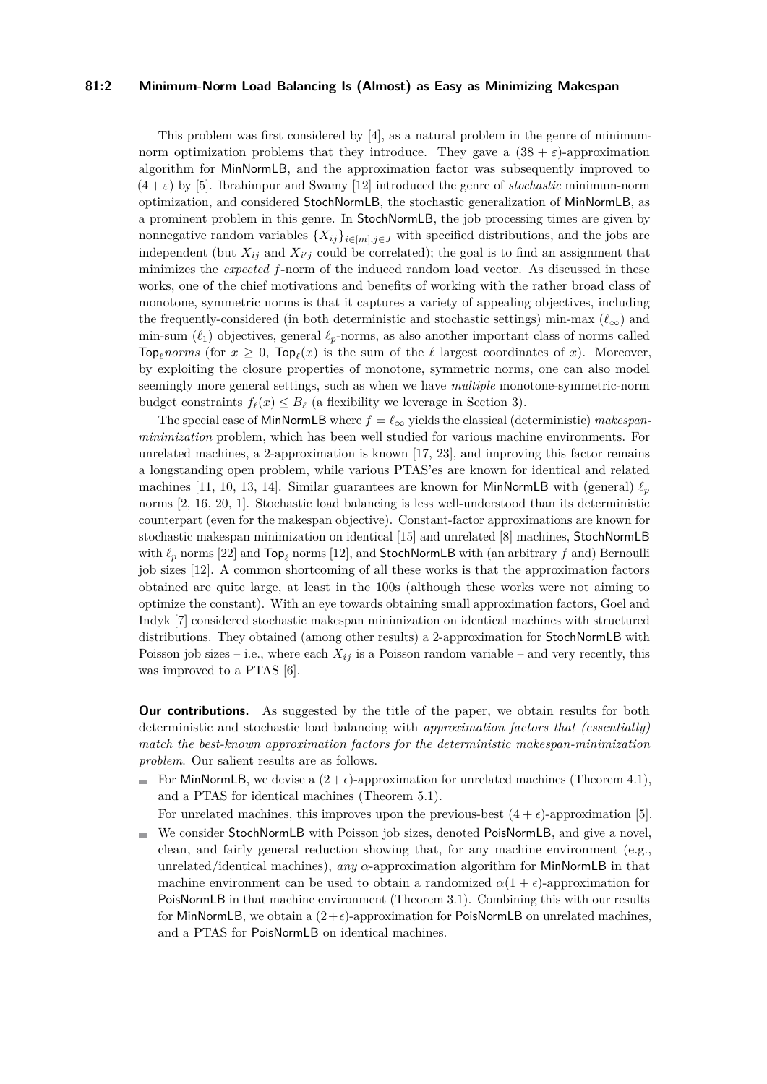# **81:2 Minimum-Norm Load Balancing Is (Almost) as Easy as Minimizing Makespan**

This problem was first considered by [\[4\]](#page-19-0), as a natural problem in the genre of minimumnorm optimization problems that they introduce. They gave a  $(38 + \varepsilon)$ -approximation algorithm for MinNormLB, and the approximation factor was subsequently improved to  $(4 + \varepsilon)$  by [\[5\]](#page-19-1). Ibrahimpur and Swamy [\[12\]](#page-19-3) introduced the genre of *stochastic* minimum-norm optimization, and considered StochNormLB, the stochastic generalization of MinNormLB, as a prominent problem in this genre. In StochNormLB, the job processing times are given by nonnegative random variables  $\{X_{ij}\}_{i\in[m],j\in J}$  with specified distributions, and the jobs are independent (but  $X_{ij}$  and  $X_{i'j}$  could be correlated); the goal is to find an assignment that minimizes the *expected f*-norm of the induced random load vector. As discussed in these works, one of the chief motivations and benefits of working with the rather broad class of monotone, symmetric norms is that it captures a variety of appealing objectives, including the frequently-considered (in both deterministic and stochastic settings) min-max  $(\ell_{\infty})$  and min-sum  $(\ell_1)$  objectives, general  $\ell_p$ -norms, as also another important class of norms called Top<sub>l</sub><sup>*norms* (for  $x \geq 0$ , Top<sub>l</sub> $(x)$  is the sum of the  $\ell$  largest coordinates of  $x$ ). Moreover,</sup> by exploiting the closure properties of monotone, symmetric norms, one can also model seemingly more general settings, such as when we have *multiple* monotone-symmetric-norm budget constraints  $f_{\ell}(x) \leq B_{\ell}$  (a flexibility we leverage in Section [3\)](#page-7-0).

The special case of MinNormLB where  $f = \ell_{\infty}$  yields the classical (deterministic) *makespanminimization* problem, which has been well studied for various machine environments. For unrelated machines, a 2-approximation is known [\[17,](#page-19-4) [23\]](#page-19-5), and improving this factor remains a longstanding open problem, while various PTAS'es are known for identical and related machines [\[11,](#page-19-6) [10,](#page-19-7) [13,](#page-19-8) [14\]](#page-19-9). Similar guarantees are known for MinNormLB with (general)  $\ell_p$ norms [\[2,](#page-19-10) [16,](#page-19-11) [20,](#page-19-12) [1\]](#page-19-13). Stochastic load balancing is less well-understood than its deterministic counterpart (even for the makespan objective). Constant-factor approximations are known for stochastic makespan minimization on identical [\[15\]](#page-19-14) and unrelated [\[8\]](#page-19-15) machines, StochNormLB with *ℓ<sup>p</sup>* norms [\[22\]](#page-19-16) and Top*<sup>ℓ</sup>* norms [\[12\]](#page-19-3), and StochNormLB with (an arbitrary *f* and) Bernoulli job sizes [\[12\]](#page-19-3). A common shortcoming of all these works is that the approximation factors obtained are quite large, at least in the 100s (although these works were not aiming to optimize the constant). With an eye towards obtaining small approximation factors, Goel and Indyk [\[7\]](#page-19-17) considered stochastic makespan minimization on identical machines with structured distributions. They obtained (among other results) a 2-approximation for StochNormLB with Poisson job sizes – i.e., where each  $X_{ij}$  is a Poisson random variable – and very recently, this was improved to a PTAS [\[6\]](#page-19-2).

**Our contributions.** As suggested by the title of the paper, we obtain results for both deterministic and stochastic load balancing with *approximation factors that (essentially) match the best-known approximation factors for the deterministic makespan-minimization problem*. Our salient results are as follows.

For MinNormLB, we devise a  $(2+\epsilon)$ -approximation for unrelated machines (Theorem [4.1\)](#page-10-0), and a PTAS for identical machines (Theorem [5.1\)](#page-15-0).

For unrelated machines, this improves upon the previous-best  $(4 + \epsilon)$ -approximation [\[5\]](#page-19-1).

We consider StochNormLB with Poisson job sizes, denoted PoisNormLB, and give a novel, clean, and fairly general reduction showing that, for any machine environment (e.g., unrelated/identical machines), *any α*-approximation algorithm for MinNormLB in that machine environment can be used to obtain a randomized  $\alpha(1 + \epsilon)$ -approximation for PoisNormLB in that machine environment (Theorem [3.1\)](#page-7-1). Combining this with our results for MinNormLB, we obtain a  $(2+\epsilon)$ -approximation for PoisNormLB on unrelated machines, and a PTAS for PoisNormLB on identical machines.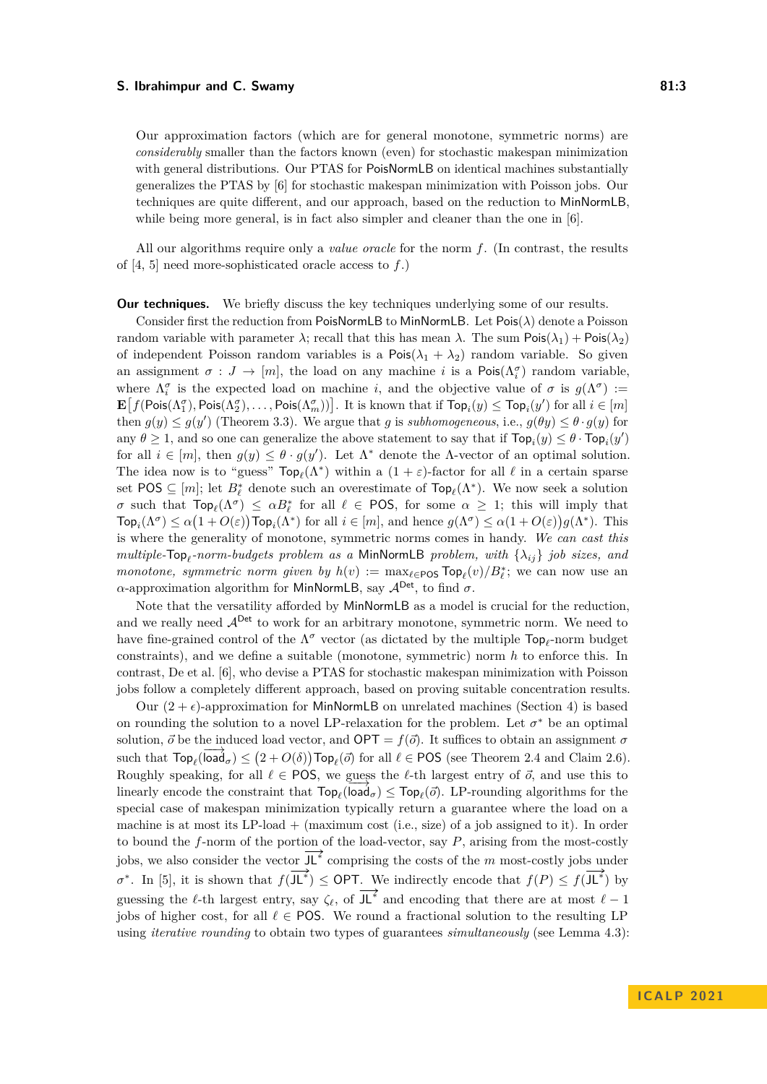Our approximation factors (which are for general monotone, symmetric norms) are *considerably* smaller than the factors known (even) for stochastic makespan minimization with general distributions. Our PTAS for PoisNormLB on identical machines substantially generalizes the PTAS by [\[6\]](#page-19-2) for stochastic makespan minimization with Poisson jobs. Our techniques are quite different, and our approach, based on the reduction to MinNormLB, while being more general, is in fact also simpler and cleaner than the one in [\[6\]](#page-19-2).

All our algorithms require only a *value oracle* for the norm *f*. (In contrast, the results of [\[4,](#page-19-0) [5\]](#page-19-1) need more-sophisticated oracle access to *f*.)

**Our techniques.** We briefly discuss the key techniques underlying some of our results.

Consider first the reduction from PoisNormLB to MinNormLB. Let Pois(*λ*) denote a Poisson random variable with parameter  $\lambda$ ; recall that this has mean  $\lambda$ . The sum  $\text{Pois}(\lambda_1) + \text{Pois}(\lambda_2)$ of independent Poisson random variables is a  $\text{Pois}(\lambda_1 + \lambda_2)$  random variable. So given an assignment  $\sigma: J \to [m]$ , the load on any machine *i* is a Pois $(\Lambda_i^{\sigma})$  random variable, where  $\Lambda_i^{\sigma}$  is the expected load on machine *i*, and the objective value of  $\sigma$  is  $g(\Lambda^{\sigma})$  :=  $\mathbf{E}\left[f(\mathsf{Pois}(\Lambda_1^\sigma),\mathsf{Pois}(\Lambda_2^\sigma),\ldots,\mathsf{Pois}(\Lambda_m^\sigma))\right]$ . It is known that if  $\mathsf{Top}_i(y) \leq \mathsf{Top}_i(y')$  for all  $i \in [m]$ then  $g(y) \le g(y')$  (Theorem [3.3\)](#page-7-2). We argue that *g* is *subhomogeneous*, i.e.,  $g(\theta y) \le \theta \cdot g(y)$  for any  $\theta \geq 1$ , and so one can generalize the above statement to say that if  $\text{Top}_i(y) \leq \theta \cdot \text{Top}_i(y')$ for all  $i \in [m]$ , then  $g(y) \leq \theta \cdot g(y')$ . Let  $\Lambda^*$  denote the  $\Lambda$ -vector of an optimal solution. The idea now is to "guess"  $\text{Top}_{\ell}(\Lambda^*)$  within a  $(1 + \varepsilon)$ -factor for all  $\ell$  in a certain sparse set POS  $\subseteq [m]$ ; let  $B_{\ell}^*$  denote such an overestimate of  $\text{Top}_{\ell}(\Lambda^*)$ . We now seek a solution *σ* such that  $\text{Top}_{\ell}(\Lambda^{\sigma}) \leq \alpha B_{\ell}^*$  for all  $\ell \in \text{POS}$ , for some  $\alpha \geq 1$ ; this will imply that  $\text{Top}_i(\Lambda^{\sigma}) \leq \alpha \big(1 + O(\varepsilon)\big) \text{Top}_i(\Lambda^*)$  for all  $i \in [m]$ , and hence  $g(\Lambda^{\sigma}) \leq \alpha (1 + O(\varepsilon)) g(\Lambda^*)$ . This is where the generality of monotone, symmetric norms comes in handy. *We can cast this multiple-*Top*<sup>ℓ</sup> -norm-budgets problem as a* MinNormLB *problem, with* {*λij*} *job sizes, and monotone, symmetric norm given by*  $h(v) := \max_{\ell \in \text{POS}} \text{Top}_{\ell}(v)/B_{\ell}^{*}$ ; we can now use an *α*-approximation algorithm for MinNormLB, say  $\mathcal{A}^{\text{Det}}$ , to find *σ*.

Note that the versatility afforded by MinNormLB as a model is crucial for the reduction, and we really need  $A^{Det}$  to work for an arbitrary monotone, symmetric norm. We need to have fine-grained control of the  $\Lambda^{\sigma}$  vector (as dictated by the multiple  $\textsf{Top}_{\ell}$ -norm budget constraints), and we define a suitable (monotone, symmetric) norm *h* to enforce this. In contrast, De et al. [\[6\]](#page-19-2), who devise a PTAS for stochastic makespan minimization with Poisson jobs follow a completely different approach, based on proving suitable concentration results.

Our  $(2 + \epsilon)$ -approximation for MinNormLB on unrelated machines (Section [4\)](#page-10-1) is based on rounding the solution to a novel LP-relaxation for the problem. Let  $\sigma^*$  be an optimal solution,  $\vec{o}$  be the induced load vector, and OPT =  $f(\vec{o})$ . It suffices to obtain an assignment  $\sigma$ such that  $\text{Top}_{\ell}(\overline{\text{load}}_{\sigma}) \leq (2 + O(\delta)) \text{Top}_{\ell}(\vec{\sigma})$  for all  $\ell \in \text{POS}$  (see Theorem [2.4](#page-3-0) and Claim [2.6\)](#page-4-0). Roughly speaking, for all  $\ell \in \text{POS}$ , we guess the  $\ell$ -th largest entry of  $\vec{o}$ , and use this to linearly encode the constraint that  $\text{Top}_{\ell}(\text{load}_{\sigma}) \leq \text{Top}_{\ell}(\vec{\sigma})$ . LP-rounding algorithms for the special case of makespan minimization typically return a guarantee where the load on a machine is at most its  $LP$ -load  $+$  (maximum cost (i.e., size) of a job assigned to it). In order to bound the *f*-norm of the portion of the load-vector, say *P*, arising from the most-costly jobs, we also consider the vector JL<sup>∗</sup> comprising the costs of the *m* most-costly jobs under  $\sigma^*$ . In [\[5\]](#page-19-1), it is shown that  $f(\mathsf{J} \mathsf{L}^*) \leq \mathsf{OPT}$ . We indirectly encode that  $f(P) \leq f(\mathsf{J} \mathsf{L}^*)$  by guessing the  $\ell$ -th largest entry, say  $\zeta_{\ell}$ , of  $J\mathsf{L}^*$  and encoding that there are at most  $\ell-1$ jobs of higher cost, for all  $\ell \in$  POS. We round a fractional solution to the resulting LP using *iterative rounding* to obtain two types of guarantees *simultaneously* (see Lemma [4.3\)](#page-11-0):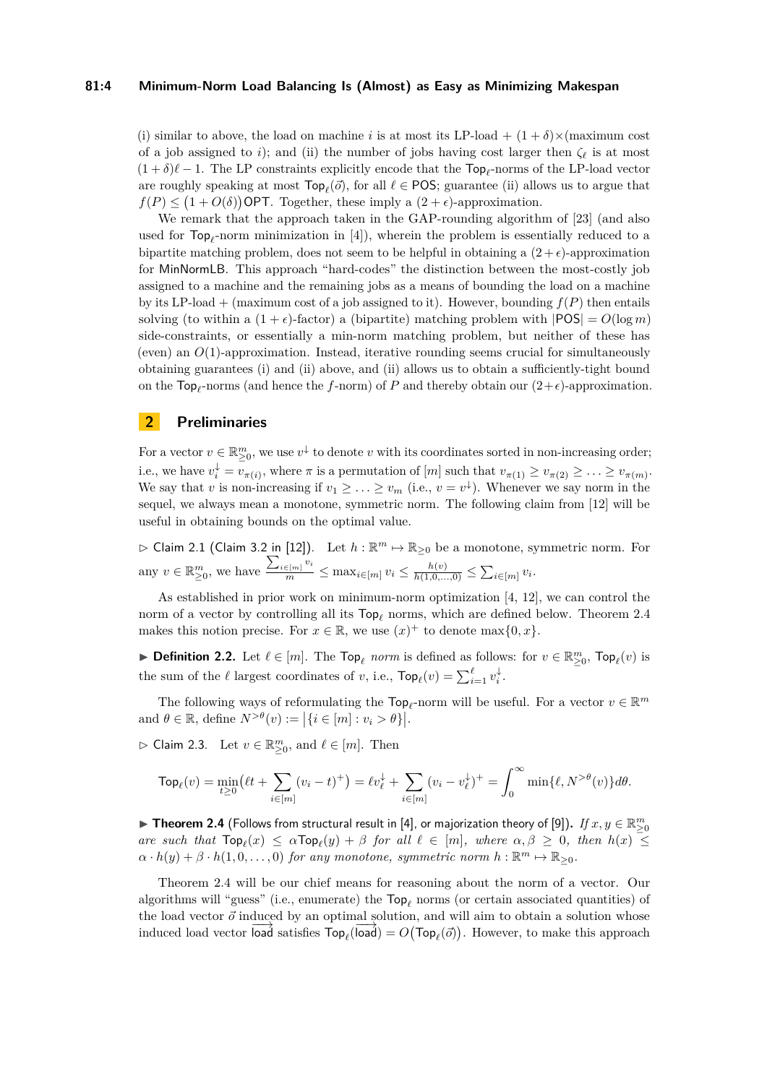## **81:4 Minimum-Norm Load Balancing Is (Almost) as Easy as Minimizing Makespan**

(i) similar to above, the load on machine *i* is at most its LP-load +  $(1 + \delta) \times$ (maximum cost of a job assigned to *i*); and (ii) the number of jobs having cost larger then  $\zeta_{\ell}$  is at most  $(1 + \delta)\ell - 1$ . The LP constraints explicitly encode that the Top<sub>l</sub>-norms of the LP-load vector are roughly speaking at most  $\text{Top}_{\ell}(\vec{o})$ , for all  $\ell \in \text{POS}$ ; guarantee (ii) allows us to argue that  $f(P) \leq (1 + O(\delta))$  OPT. Together, these imply a  $(2 + \epsilon)$ -approximation.

We remark that the approach taken in the GAP-rounding algorithm of [\[23\]](#page-19-5) (and also used for  $\text{Top}_{\ell}$ -norm minimization in [\[4\]](#page-19-0)), wherein the problem is essentially reduced to a bipartite matching problem, does not seem to be helpful in obtaining a  $(2 + \epsilon)$ -approximation for MinNormLB. This approach "hard-codes" the distinction between the most-costly job assigned to a machine and the remaining jobs as a means of bounding the load on a machine by its LP-load + (maximum cost of a job assigned to it). However, bounding  $f(P)$  then entails solving (to within a  $(1 + \epsilon)$ -factor) a (bipartite) matching problem with  $|POS| = O(log m)$ side-constraints, or essentially a min-norm matching problem, but neither of these has (even) an  $O(1)$ -approximation. Instead, iterative rounding seems crucial for simultaneously obtaining guarantees (i) and (ii) above, and (ii) allows us to obtain a sufficiently-tight bound on the  $\text{Top}_{\ell}$ -norms (and hence the *f*-norm) of *P* and thereby obtain our  $(2+\epsilon)$ -approximation.

# <span id="page-3-2"></span>**2 Preliminaries**

For a vector  $v \in \mathbb{R}_{\geq 0}^m$ , we use  $v^{\downarrow}$  to denote *v* with its coordinates sorted in non-increasing order; i.e., we have  $v_i^{\downarrow} = v_{\pi(i)}$ , where  $\pi$  is a permutation of  $[m]$  such that  $v_{\pi(1)} \ge v_{\pi(2)} \ge \ldots \ge v_{\pi(m)}$ . We say that *v* is non-increasing if  $v_1 \geq \ldots \geq v_m$  (i.e.,  $v = v^{\downarrow}$ ). Whenever we say norm in the sequel, we always mean a monotone, symmetric norm. The following claim from [\[12\]](#page-19-3) will be useful in obtaining bounds on the optimal value.

<span id="page-3-3"></span> $\triangleright$  Claim 2.1 (Claim 3.2 in [\[12\]](#page-19-3)). Let  $h : \mathbb{R}^m \mapsto \mathbb{R}_{\geq 0}$  be a monotone, symmetric norm. For any  $v \in \mathbb{R}_{\geq 0}^m$ , we have  $\frac{\sum_{i \in [m]} v_i}{m} \leq \max_{i \in [m]} v_i \leq \frac{h(v)}{h(1,0,\ldots,0)} \leq \sum_{i \in [m]} v_i$ .

As established in prior work on minimum-norm optimization [\[4,](#page-19-0) [12\]](#page-19-3), we can control the norm of a vector by controlling all its Top*<sup>ℓ</sup>* norms, which are defined below. Theorem [2.4](#page-3-0) makes this notion precise. For  $x \in \mathbb{R}$ , we use  $(x)^+$  to denote max $\{0, x\}$ .

▶ **Definition 2.2.** Let  $\ell \in [m]$ . The  $\text{Top}_{\ell}$  *norm* is defined as follows: for  $v \in \mathbb{R}_{\geq 0}^m$ ,  $\text{Top}_{\ell}(v)$  is the sum of the  $\ell$  largest coordinates of *v*, i.e.,  $\text{Top}_{\ell}(v) = \sum_{i=1}^{\ell} v_i^{\downarrow}$ .

The following ways of reformulating the  $\text{Top}_{\ell}$ -norm will be useful. For a vector  $v \in \mathbb{R}^m$ and  $\theta \in \mathbb{R}$ , define  $N^{>\theta}(v) := |\{i \in [m] : v_i > \theta\}|$ .

<span id="page-3-1"></span> $\rhd$  Claim 2.3. Let  $v \in \mathbb{R}^m_{\geq 0}$ , and  $\ell \in [m]$ . Then

$$
\mathsf{Top}_{\ell}(v) = \min_{t \geq 0} \left( \ell t + \sum_{i \in [m]} (v_i - t)^+ \right) = \ell v_{\ell}^{\downarrow} + \sum_{i \in [m]} (v_i - v_{\ell}^{\downarrow})^+ = \int_0^{\infty} \min \{ \ell, N^{> \theta}(v) \} d\theta.
$$

<span id="page-3-0"></span>▶ Theorem 2.4 (Follows from structural result in [\[4\]](#page-19-0), or majorization theory of [\[9\]](#page-19-18)). *If*  $x, y \in \mathbb{R}^m_{\geq 0}$ *are such that*  $\text{Top}_{\ell}(x) \leq \alpha \text{Top}_{\ell}(y) + \beta$  *for all*  $\ell \in [m]$ *, where*  $\alpha, \beta \geq 0$ *, then*  $h(x) \leq$  $\alpha \cdot h(y) + \beta \cdot h(1,0,\ldots,0)$  *for any monotone, symmetric norm*  $h: \mathbb{R}^m \mapsto \mathbb{R}_{\geq 0}$ *.* 

Theorem [2.4](#page-3-0) will be our chief means for reasoning about the norm of a vector. Our algorithms will "guess" (i.e., enumerate) the Top*<sup>ℓ</sup>* norms (or certain associated quantities) of the load vector  $\vec{o}$  induced by an optimal solution, and will aim to obtain a solution whose induced load vector  $\overline{\text{load}}$  satisfies  $\text{Top}_{\ell}(\overline{\text{load}}) = O(\text{Top}_{\ell}(\vec{\sigma}))$ . However, to make this approach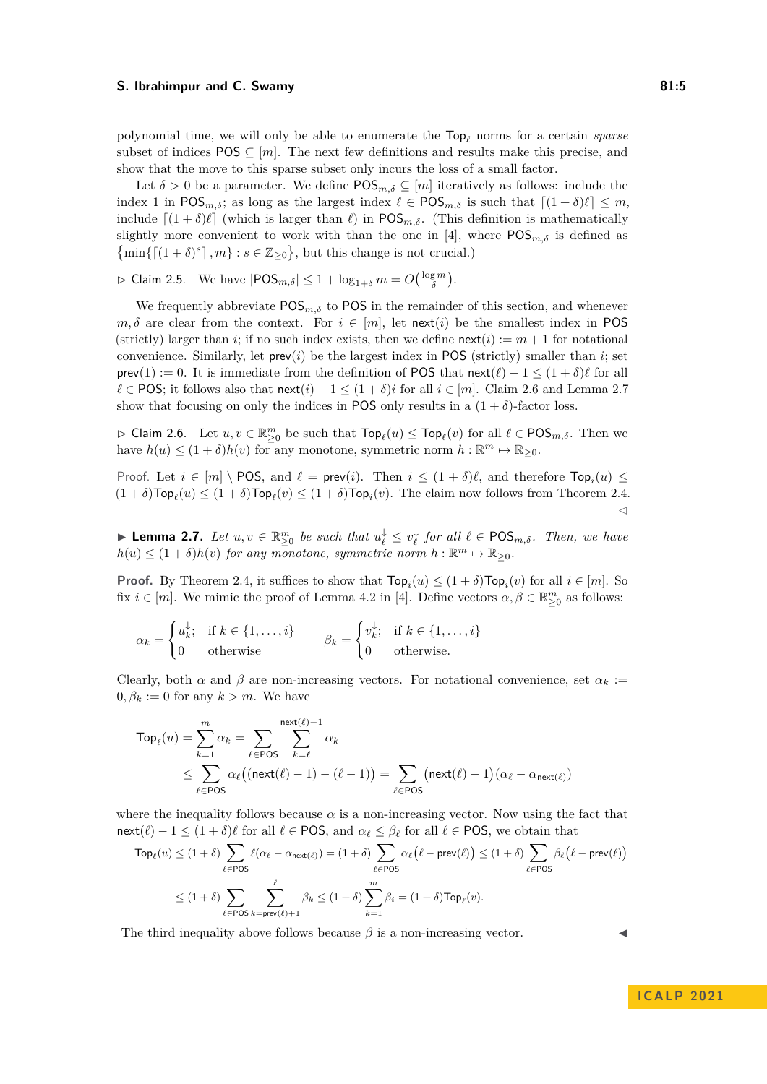polynomial time, we will only be able to enumerate the Top*<sup>ℓ</sup>* norms for a certain *sparse* subset of indices POS  $\subseteq$  [*m*]. The next few definitions and results make this precise, and show that the move to this sparse subset only incurs the loss of a small factor.

Let  $\delta > 0$  be a parameter. We define  $POS_{m,\delta} \subseteq [m]$  iteratively as follows: include the index 1 in  $POS_{m,\delta}$ ; as long as the largest index  $\ell \in POS_{m,\delta}$  is such that  $\lceil (1+\delta)\ell \rceil \leq m$ , include  $[(1 + \delta)\ell]$  (which is larger than  $\ell$ ) in POS<sub>*m,δ*</sub>. (This definition is mathematically slightly more convenient to work with than the one in [\[4\]](#page-19-0), where  $POS_{m,\delta}$  is defined as  $\{\min\{\lceil (1+\delta)^s \rceil, m\} : s \in \mathbb{Z}_{\geq 0}\},\$  but this change is not crucial.)

 $\rhd$  Claim 2.5. We have  $|POS_{m,\delta}| \leq 1 + \log_{1+\delta} m = O(\frac{\log m}{\delta}).$ 

We frequently abbreviate  $POS_{m,\delta}$  to POS in the remainder of this section, and whenever  $m, \delta$  are clear from the context. For  $i \in [m]$ , let next(*i*) be the smallest index in POS (strictly) larger than *i*; if no such index exists, then we define  $\text{next}(i) := m + 1$  for notational convenience. Similarly, let  $\mathsf{prev}(i)$  be the largest index in POS (strictly) smaller than *i*; set prev(1) := 0. It is immediate from the definition of POS that  $\text{next}(\ell) - 1 \leq (1 + \delta)\ell$  for all  $ℓ ∈ POS;$  it follows also that  $next(i) - 1 ≤ (1 + δ)i$  for all  $i ∈ [m]$ . Claim [2.6](#page-4-0) and Lemma [2.7](#page-4-1) show that focusing on only the indices in POS only results in a  $(1 + \delta)$ -factor loss.

<span id="page-4-0"></span> $\triangleright$  Claim 2.6. Let  $u, v \in \mathbb{R}^m_{\geq 0}$  be such that  $\mathsf{Top}_{\ell}(u) \leq \mathsf{Top}_{\ell}(v)$  for all  $\ell \in \mathsf{POS}_{m,\delta}$ . Then we have  $h(u) \leq (1+\delta)h(v)$  for any monotone, symmetric norm  $h: \mathbb{R}^m \mapsto \mathbb{R}_{\geq 0}$ .

Proof. Let  $i \in [m] \setminus \text{POS}$ , and  $\ell = \text{prev}(i)$ . Then  $i \leq (1 + \delta)\ell$ , and therefore  $\text{Top}_i(u) \leq$  $(1 + \delta) \text{Top}_{\ell}(u) \le (1 + \delta) \text{Top}_{\ell}(v) \le (1 + \delta) \text{Top}_{i}(v)$ . The claim now follows from Theorem [2.4.](#page-3-0)  $\triangleleft$ 

<span id="page-4-1"></span>▶ **Lemma 2.7.** Let  $u, v \in \mathbb{R}_{\geq 0}^m$  be such that  $u_\ell^{\downarrow} \leq v_\ell^{\downarrow}$  for all  $\ell \in \text{POS}_{m,\delta}$ *. Then, we have*  $h(u) \leq (1+\delta)h(v)$  *for any monotone, symmetric norm*  $h: \mathbb{R}^m \mapsto \mathbb{R}_{\geq 0}$ *.* 

**Proof.** By Theorem [2.4,](#page-3-0) it suffices to show that  $\text{Top}_i(u) \leq (1+\delta)\text{Top}_i(v)$  for all  $i \in [m]$ . So fix  $i \in [m]$ . We mimic the proof of Lemma 4.2 in [\[4\]](#page-19-0). Define vectors  $\alpha, \beta \in \mathbb{R}^m_{\geq 0}$  as follows:

$$
\alpha_k = \begin{cases} u_k^{\downarrow}; & \text{if } k \in \{1, \dots, i\} \\ 0 & \text{otherwise} \end{cases} \qquad \beta_k = \begin{cases} v_k^{\downarrow}; & \text{if } k \in \{1, \dots, i\} \\ 0 & \text{otherwise.} \end{cases}
$$

Clearly, both  $\alpha$  and  $\beta$  are non-increasing vectors. For notational convenience, set  $\alpha_k$  :=  $0, \beta_k := 0$  for any  $k > m$ . We have

$$
\text{Top}_{\ell}(u) = \sum_{k=1}^{m} \alpha_k = \sum_{\ell \in \text{POS}} \sum_{k=\ell}^{\text{next}(\ell)-1} \alpha_k
$$
  
\$\leq \sum\_{\ell \in \text{POS}} \alpha\_{\ell}((\text{next}(\ell)-1) - (\ell-1)) = \sum\_{\ell \in \text{POS}} (\text{next}(\ell)-1)(\alpha\_{\ell} - \alpha\_{\text{next}(\ell)})\$

where the inequality follows because  $\alpha$  is a non-increasing vector. Now using the fact that next( $\ell$ ) – 1  $\leq$  (1 +  $\delta$ ) $\ell$  for all  $\ell \in$  POS, and  $\alpha_{\ell} \leq \beta_{\ell}$  for all  $\ell \in$  POS, we obtain that

$$
\begin{split} \mathsf{Top}_\ell(u)&\leq (1+\delta)\sum_{\ell\in\mathsf{POS}}\ell(\alpha_\ell-\alpha_{\mathsf{next}(\ell)})=(1+\delta)\sum_{\ell\in\mathsf{POS}}\alpha_\ell\Big(\ell-\mathsf{prev}(\ell)\Big)\leq (1+\delta)\sum_{\ell\in\mathsf{POS}}\beta_\ell\Big(\ell-\mathsf{prev}(\ell)\Big)\\ &\leq (1+\delta)\sum_{\ell\in\mathsf{POS}}\sum_{k=\mathsf{prev}(\ell)+1}\beta_k\leq (1+\delta)\sum_{k=1}^m\beta_i=(1+\delta)\mathsf{Top}_\ell(v). \end{split}
$$

The third inequality above follows because  $\beta$  is a non-increasing vector.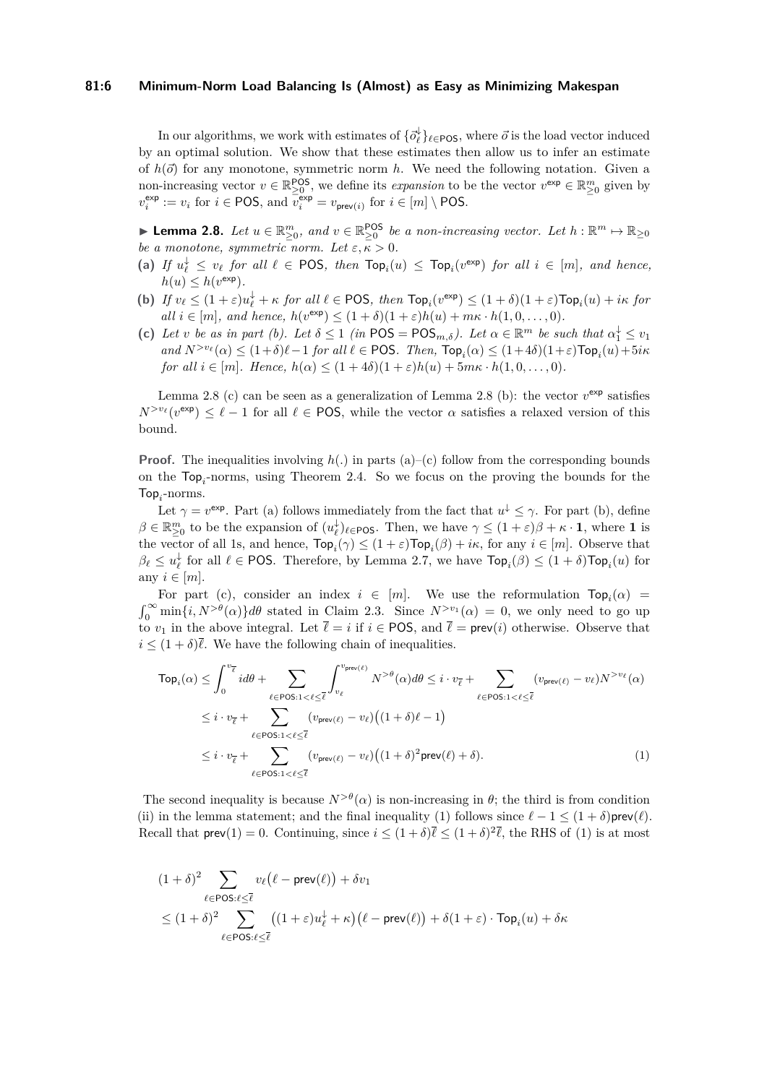## **81:6 Minimum-Norm Load Balancing Is (Almost) as Easy as Minimizing Makespan**

In our algorithms, we work with estimates of  $\{\vec{o}^\downarrow_\ell\}_{\ell \in \text{POS}}$ , where  $\vec{o}$  is the load vector induced by an optimal solution. We show that these estimates then allow us to infer an estimate of  $h(\vec{o})$  for any monotone, symmetric norm h. We need the following notation. Given a non-increasing vector  $v \in \mathbb{R}^{POS}_{\geq 0}$ , we define its *expansion* to be the vector  $v^{\text{exp}} \in \mathbb{R}^{m}_{\geq 0}$  given by  $v_i^{\text{exp}} := v_i \text{ for } i \in \text{POS}, \text{ and } \overline{v_i^{\text{exp}}} = v_{\text{prev}(i)} \text{ for } i \in [m] \setminus \text{POS}.$ 

<span id="page-5-0"></span>▶ **Lemma 2.8.** *Let*  $u \in \mathbb{R}_{\geq 0}^m$ , and  $v \in \mathbb{R}_{\geq 0}^{\text{POS}}$  *be a non-increasing vector. Let*  $h : \mathbb{R}^m \mapsto \mathbb{R}_{\geq 0}$ *be a monotone, symmetric norm. Let*  $\epsilon, \overline{\kappa} > 0$ .

- $\mathbf{a} \in \mathbb{R}$  *If*  $u_{\ell}^{\downarrow} \leq v_{\ell}$  *for all*  $\ell \in \text{POS}$ , *then*  $\text{Top}_{i}(u) \leq \text{Top}_{i}(v^{\text{exp}})$  *for all*  $i \in [m]$ *, and hence,*  $h(u) \leq h(v^{\exp}).$
- (b) If  $v_{\ell} \leq (1+\varepsilon)u_{\ell}^{\downarrow} + \kappa$  for all  $\ell \in \text{POS}$ , then  $\text{Top}_i(v^{\text{exp}}) \leq (1+\delta)(1+\varepsilon)\text{Top}_i(u) + i\kappa$  for  $all \ i \in [m], \ and \ hence, \ h(v^{\exp}) \leq (1+\delta)(1+\varepsilon)h(u) + m\kappa \cdot h(1,0,\ldots,0).$
- (c) Let *v* be as in part (b). Let  $\delta \leq 1$  (in POS = POS<sub>*m*, $\delta$ </sub>). Let  $\alpha \in \mathbb{R}^m$  be such that  $\alpha_1^{\downarrow} \leq v_1$  $\int$  *and*  $N^{>v_{\ell}}(\alpha) \leq (1+\delta)\ell - 1$  *for all*  $\ell \in \text{POS}$ *. Then,*  $\text{Top}_i(\alpha) \leq (1+4\delta)(1+\varepsilon)\text{Top}_i(u) + 5i\kappa$ *for all*  $i \in [m]$ *. Hence,*  $h(\alpha) \leq (1+4\delta)(1+\varepsilon)h(u) + 5m\kappa \cdot h(1,0,\ldots,0)$ *.*

Lemma [2.8](#page-5-0) (c) can be seen as a generalization of Lemma 2.8 (b): the vector  $v^{\text{exp}}$  satisfies  $N^{>v_{\ell}}(v^{\text{exp}}) \leq \ell - 1$  for all  $\ell \in \text{POS}$ , while the vector  $\alpha$  satisfies a relaxed version of this bound.

**Proof.** The inequalities involving  $h(.)$  in parts (a)–(c) follow from the corresponding bounds on the Top*<sup>i</sup>* -norms, using Theorem [2.4.](#page-3-0) So we focus on the proving the bounds for the  $\mathsf{Top}_i\text{-norms}.$ 

Let  $\gamma = v^{\text{exp}}$ . Part (a) follows immediately from the fact that  $u^{\downarrow} \leq \gamma$ . For part (b), define  $\beta \in \mathbb{R}_{\geq 0}^m$  to be the expansion of  $(u_\ell^{\downarrow})_{\ell \in \text{POS}}$ . Then, we have  $\gamma \leq (1+\varepsilon)\beta + \kappa \cdot \mathbf{1}$ , where **1** is the vector of all 1s, and hence,  $\text{Top}_i(\gamma) \leq (1+\varepsilon)\text{Top}_i(\beta) + i\kappa$ , for any  $i \in [m]$ . Observe that  $\beta_{\ell} \leq u_{\ell}^{\downarrow}$  for all  $\ell \in \text{POS}$ . Therefore, by Lemma [2.7,](#page-4-1) we have  $\text{Top}_i(\beta) \leq (1+\delta) \text{Top}_i(u)$  for any  $i \in [m]$ .

For part (c), consider an index  $i \in [m]$ . We use the reformulation  $\text{Top}_i(\alpha)$  =  $\int_0^\infty \min\{i, N^{>\theta}(\alpha)\} d\theta$  stated in Claim [2.3.](#page-3-1) Since  $N^{>v_1}(\alpha) = 0$ , we only need to go up to  $v_1$  in the above integral. Let  $\bar{\ell} = i$  if  $i \in \text{POS}$ , and  $\bar{\ell} = \text{prev}(i)$  otherwise. Observe that  $i \leq (1+\delta)\overline{\ell}$ . We have the following chain of inequalities.

<span id="page-5-1"></span>
$$
\mathsf{Top}_{i}(\alpha) \leq \int_{0}^{v_{\overline{\ell}}} id\theta + \sum_{\ell \in \mathsf{POS}: 1 < \ell \leq \overline{\ell}} \int_{v_{\ell}}^{v_{\mathsf{prev}(\ell)}} N^{>\theta}(\alpha) d\theta \leq i \cdot v_{\overline{\ell}} + \sum_{\ell \in \mathsf{POS}: 1 < \ell \leq \overline{\ell}} (v_{\mathsf{prev}(\ell)} - v_{\ell}) N^{>v_{\ell}}(\alpha)
$$
\n
$$
\leq i \cdot v_{\overline{\ell}} + \sum_{\ell \in \mathsf{POS}: 1 < \ell \leq \overline{\ell}} (v_{\mathsf{prev}(\ell)} - v_{\ell}) \Big( (1 + \delta)\ell - 1 \Big)
$$
\n
$$
\leq i \cdot v_{\overline{\ell}} + \sum_{\ell \in \mathsf{POS}: 1 < \ell \leq \overline{\ell}} (v_{\mathsf{prev}(\ell)} - v_{\ell}) \Big( (1 + \delta)^{2} \mathsf{prev}(\ell) + \delta \Big). \tag{1}
$$

The second inequality is because  $N^{>\theta}(\alpha)$  is non-increasing in  $\theta$ ; the third is from condition (ii) in the lemma statement; and the final inequality [\(1\)](#page-5-1) follows since  $\ell - 1 < (1 + \delta)$  prev $(\ell)$ . Recall that  $\mathsf{prev}(1) = 0$  $\mathsf{prev}(1) = 0$  $\mathsf{prev}(1) = 0$ . Continuing, since  $i \leq (1 + \delta)\overline{\ell} \leq (1 + \delta)^2 \overline{\ell}$ , the RHS of (1) is at most

$$
(1+\delta)^2 \sum_{\ell \in \text{POS}:\ell \leq \overline{\ell}} v_{\ell}(\ell - \text{prev}(\ell)) + \delta v_1
$$
  
 
$$
\leq (1+\delta)^2 \sum_{\ell \in \text{POS}:\ell \leq \overline{\ell}} ((1+\varepsilon)u_{\ell}^{\downarrow} + \kappa)(\ell - \text{prev}(\ell)) + \delta(1+\varepsilon) \cdot \text{Top}_i(u) + \delta \kappa
$$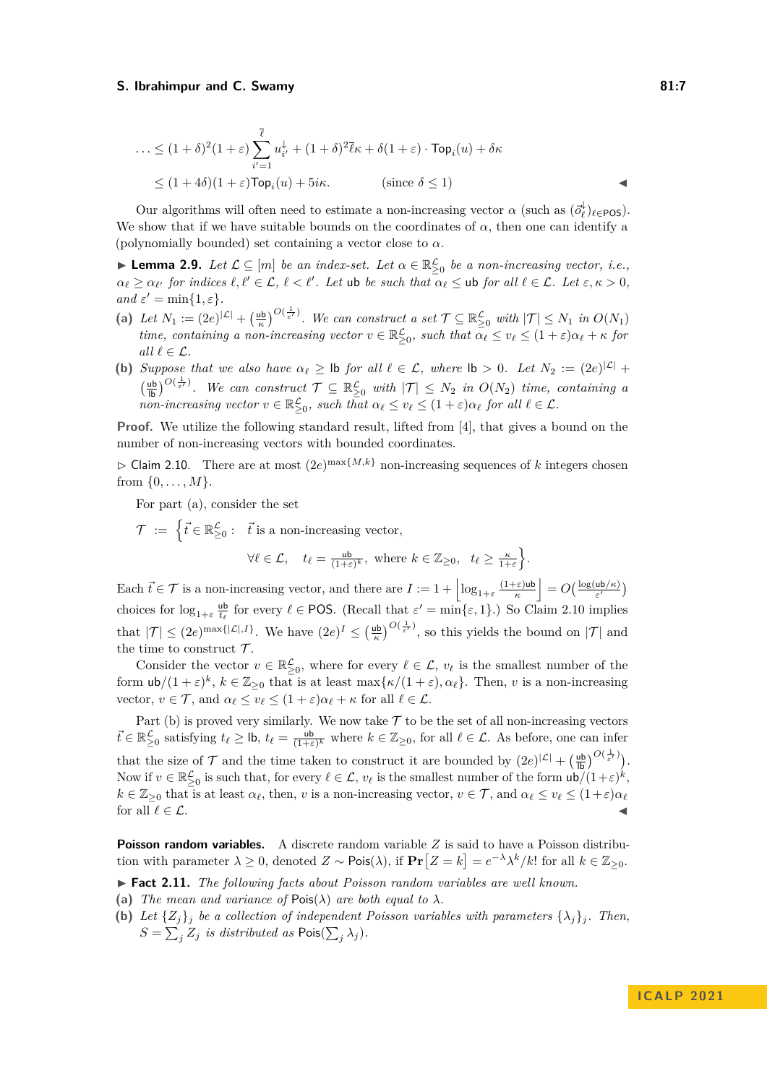$$
\dots \le (1+\delta)^2 (1+\varepsilon) \sum_{i'=1}^{\overline{\ell}} u_{i'}^{\downarrow} + (1+\delta)^2 \overline{\ell} \kappa + \delta (1+\varepsilon) \cdot \text{Top}_i(u) + \delta \kappa
$$
  

$$
\le (1+4\delta)(1+\varepsilon) \text{Top}_i(u) + 5i\kappa. \qquad \text{(since } \delta \le 1\text{)}
$$

Our algorithms will often need to estimate a non-increasing vector  $\alpha$  (such as  $(\vec{\sigma}_\ell^{\downarrow})_{\ell \in \text{POS}}$ ). We show that if we have suitable bounds on the coordinates of  $\alpha$ , then one can identify a (polynomially bounded) set containing a vector close to *α*.

<span id="page-6-2"></span>**► Lemma 2.9.** Let  $\mathcal{L} \subseteq [m]$  be an index-set. Let  $\alpha \in \mathbb{R}^{\mathcal{L}}_{\geq 0}$  be a non-increasing vector, i.e.,  $\alpha_{\ell} \geq \alpha_{\ell'}$  *for indices*  $\ell, \ell' \in \mathcal{L}, \ell < \ell'$ . Let ub *be such that*  $\alpha_{\ell} \leq$  ub *for all*  $\ell \in \mathcal{L}$ . Let  $\varepsilon, \kappa > 0$ ,  $and \varepsilon' = \min\{1, \varepsilon\}.$ 

- (a) Let  $N_1 := (2e)^{|\mathcal{L}|} + \left(\frac{\mu}{\kappa}\right)^{O(\frac{1}{\varepsilon'})}$ . We can construct a set  $\mathcal{T} \subseteq \mathbb{R}_{\geq 0}^{\mathcal{L}}$  with  $|\mathcal{T}| \leq N_1$  in  $O(N_1)$ *time, containing a non-increasing vector*  $v \in \mathbb{R}^{\mathcal{L}}_{\geq 0}$ , such that  $\alpha_{\ell} \leq v_{\ell} \leq (1+\varepsilon)\alpha_{\ell} + \kappa$  for *all*  $\ell \in \mathcal{L}$ *.*
- **(b)** *Suppose that we also have*  $\alpha_{\ell} \geq$  **lb** *for all*  $\ell \in \mathcal{L}$ *, where* **lb** > 0*.* Let  $N_2 := (2e)^{|\mathcal{L}|} +$  $\left(\frac{ub}{lb}\right)^{O(\frac{1}{\epsilon'})}$ . We can construct  $\mathcal{T} \subseteq \mathbb{R}_{\geq 0}^{\mathcal{L}}$  with  $|\mathcal{T}| \leq N_2$  in  $O(N_2)$  time, containing a  $\sum_{i=1}^{n} \sum_{i=1}^{n} a_i \cdot \sum_{i=1}^{n} a_i \cdot \sum_{i=1}^{n} a_i \cdot \sum_{i=1}^{n} a_i \cdot \sum_{i=1}^{n} a_i \cdot \sum_{i=1}^{n} a_i \cdot \sum_{i=1}^{n} a_i \cdot \sum_{i=1}^{n} a_i \cdot \sum_{i=1}^{n} a_i \cdot \sum_{i=1}^{n} a_i \cdot \sum_{i=1}^{n} a_i \cdot \sum_{i=1}^{n} a_i \cdot \sum_{i=1}^{n} a_i \cdot \sum_{i=1}^{n} a_i \cdot \sum_{i=1}^{n} a_i \cdot$

**Proof.** We utilize the following standard result, lifted from [\[4\]](#page-19-0), that gives a bound on the number of non-increasing vectors with bounded coordinates.

<span id="page-6-0"></span> $\triangleright$  Claim 2.10. There are at most  $(2e)^{\max\{M,k\}}$  non-increasing sequences of *k* integers chosen from {0*, . . . , M*}.

For part (a), consider the set

 $\mathcal{T} := \left\{ \vec{t} \in \mathbb{R}^{\mathcal{L}}_{\geq 0}: \; \; \vec{t} \; \text{is a non-increasing vector}, \right\}$ 

$$
\forall \ell \in \mathcal{L}, \quad t_{\ell} = \frac{\mathsf{ub}}{(1+\varepsilon)^k}, \text{ where } k \in \mathbb{Z}_{\geq 0}, \quad t_{\ell} \geq \frac{\kappa}{1+\varepsilon} \bigg\}.
$$

Each  $\vec{t} \in \mathcal{T}$  is a non-increasing vector, and there are  $I := 1 + \left| \log_{1+\varepsilon} \frac{(1+\varepsilon) \sin \theta}{\kappa} \right|$  $\left| \frac{1-\varepsilon\log\left(\frac{\log(u\mathsf{b}/\kappa\right)}{\varepsilon'}\right)}{1-\varepsilon'}\right|$ choices for  $\log_{1+\varepsilon} \frac{ub}{t_{\ell}}$  for every  $\ell \in \text{POS}$ . (Recall that  $\varepsilon' = \min\{\varepsilon, 1\}$ .) So Claim [2.10](#page-6-0) implies that  $|\mathcal{T}| \leq (2e)^{\max\{|\mathcal{L}|, I\}}$ . We have  $(2e)^I \leq (\frac{\mu b}{\kappa})^{O(\frac{1}{\varepsilon'})}$ , so this yields the bound on  $|\mathcal{T}|$  and the time to construct  $\mathcal{T}$ .

Consider the vector  $v \in \mathbb{R}^{\mathcal{L}}_{\geq 0}$ , where for every  $\ell \in \mathcal{L}$ ,  $v_{\ell}$  is the smallest number of the form  $\mathsf{ub}/(1+\varepsilon)^k$ ,  $k \in \mathbb{Z}_{\geq 0}$  that is at least max $\{\kappa/(1+\varepsilon), \alpha_\ell\}$ . Then, *v* is a non-increasing vector,  $v \in \mathcal{T}$ , and  $\alpha_{\ell} \leq v_{\ell} \leq (1+\varepsilon)\alpha_{\ell} + \kappa$  for all  $\ell \in \mathcal{L}$ .

Part (b) is proved very similarly. We now take  $\mathcal T$  to be the set of all non-increasing vectors  $\vec{t} \in \mathbb{R}^{\mathcal{L}}_{\geq 0}$  satisfying  $t_{\ell} \geq \mathsf{lb}$ ,  $t_{\ell} = \frac{\mathsf{ub}}{(1+\varepsilon)^k}$  where  $k \in \mathbb{Z}_{\geq 0}$ , for all  $\ell \in \mathcal{L}$ . As before, one can infer that the size of  $\mathcal{T}$  and the time taken to construct it are bounded by  $(2e)^{|\mathcal{L}|} + \left(\frac{\mathsf{u} \mathsf{b}}{\mathsf{I} \mathsf{b}}\right)^{O(\frac{1}{\varepsilon'})}$ . Now if  $v \in \mathbb{R}_{\geq 0}^{\mathcal{L}}$  is such that, for every  $\ell \in \mathcal{L}$ ,  $v_{\ell}$  is the smallest number of the form  $ub/(1+\varepsilon)^k$ ,  $k \in \mathbb{Z}_{\geq 0}$  that is at least  $\alpha_{\ell}$ , then, *v* is a non-increasing vector,  $v \in \mathcal{T}$ , and  $\alpha_{\ell} \leq v_{\ell} \leq (1+\varepsilon)\alpha_{\ell}$ for all  $\ell \in \mathcal{L}$ .

**Poisson random variables.** A discrete random variable *Z* is said to have a Poisson distribution with parameter  $\lambda \geq 0$ , denoted  $Z \sim \text{Pois}(\lambda)$ , if  $\text{Pr}\left[Z = k\right] = e^{-\lambda} \lambda^k / k!$  for all  $k \in \mathbb{Z}_{\geq 0}$ .

▶ **Fact 2.11.** *The following facts about Poisson random variables are well known.* 

- (a) *The mean and variance of*  $Pois(\lambda)$  *are both equal to*  $\lambda$ *.*
- <span id="page-6-1"></span>**(b)** *Let*  $\{Z_j\}$ *j be a collection of independent Poisson variables with parameters*  $\{\lambda_j\}$ *j. Then,*  $S = \sum_j Z_j$  *is distributed as* Pois $(\sum_j \lambda_j)$ *.*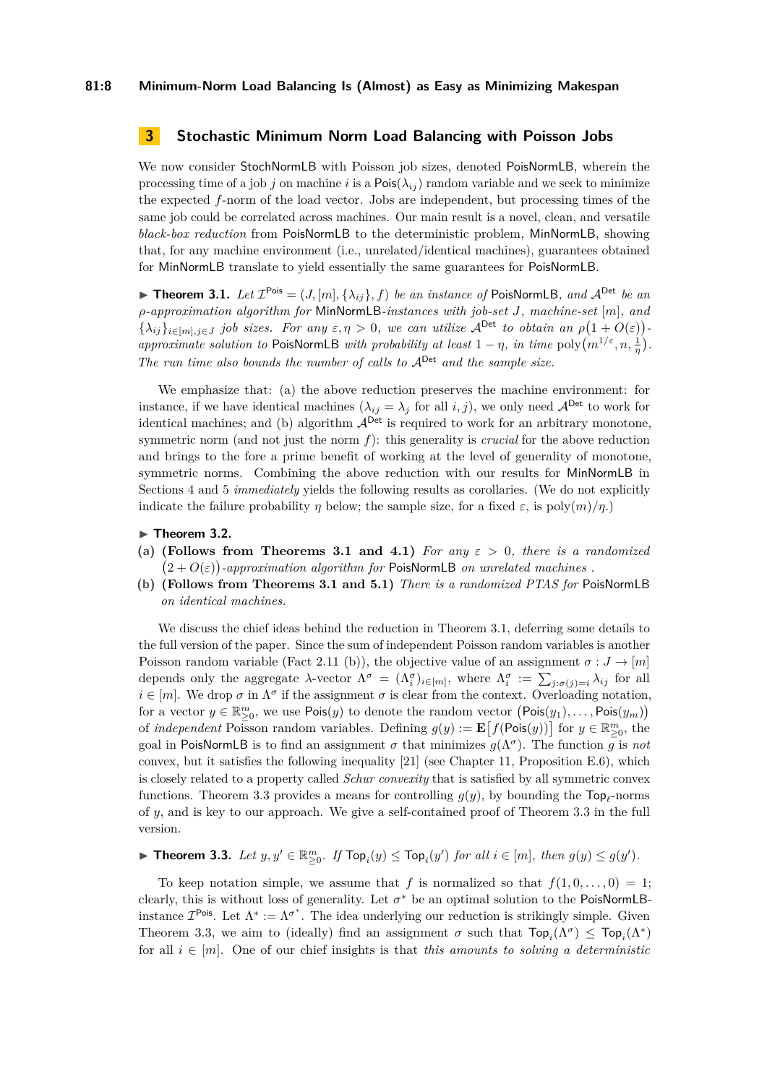# <span id="page-7-0"></span>**3 Stochastic Minimum Norm Load Balancing with Poisson Jobs**

We now consider StochNormLB with Poisson job sizes, denoted PoisNormLB, wherein the processing time of a job *j* on machine *i* is a Pois $(\lambda_{ij})$  random variable and we seek to minimize the expected *f*-norm of the load vector. Jobs are independent, but processing times of the same job could be correlated across machines. Our main result is a novel, clean, and versatile *black-box reduction* from PoisNormLB to the deterministic problem, MinNormLB, showing that, for any machine environment (i.e., unrelated/identical machines), guarantees obtained for MinNormLB translate to yield essentially the same guarantees for PoisNormLB.

<span id="page-7-1"></span>**Findmer 1.1.** *Let*  $\mathcal{I}^{\text{Pois}} = (J, [m], {\lambda_{ij}}], f)$  *be an instance of* PoisNormLB, and  $\mathcal{A}^{\text{Det}}$  *be an ρ-approximation algorithm for* MinNormLB*-instances with job-set J, machine-set* [*m*]*, and*  ${\lambda}_{ij}$ <sub> $i \in [m], j \in J}$  *job sizes. For any*  $\varepsilon, \eta > 0$ , we can utilize  $A^{\text{Det}}$  to obtain an  $\rho(1 + O(\varepsilon))$ </sub> *approximate solution to* PoisNormLB *with probability at least*  $1 - \eta$ *, in time* poly $\left(m^{1/\epsilon}, n, \frac{1}{\eta}\right)$ *. The run time also bounds the number of calls to*  $A^{Det}$  *and the sample size.* 

We emphasize that: (a) the above reduction preserves the machine environment: for instance, if we have identical machines  $(\lambda_{ij} = \lambda_j \text{ for all } i, j)$ , we only need  $\mathcal{A}^{\text{Det}}$  to work for identical machines; and (b) algorithm  $A^{Det}$  is required to work for an arbitrary monotone, symmetric norm (and not just the norm *f*): this generality is *crucial* for the above reduction and brings to the fore a prime benefit of working at the level of generality of monotone, symmetric norms. Combining the above reduction with our results for MinNormLB in Sections [4](#page-10-1) and [5](#page-15-1) *immediately* yields the following results as corollaries. (We do not explicitly indicate the failure probability  $\eta$  below; the sample size, for a fixed  $\varepsilon$ , is poly $(m)/n$ .)

#### ▶ **Theorem 3.2.**

- **(a) (Follows from Theorems [3.1](#page-7-1) and [4.1\)](#page-10-0)** *For any ε >* 0*, there is a randomized*  $(2+O(\varepsilon))$ -approximation algorithm for PoisNormLB on unrelated machines.
- **(b) (Follows from Theorems [3.1](#page-7-1) and [5.1\)](#page-15-0)** *There is a randomized PTAS for* PoisNormLB *on identical machines.*

We discuss the chief ideas behind the reduction in Theorem [3.1,](#page-7-1) deferring some details to the full version of the paper. Since the sum of independent Poisson random variables is another Poisson random variable (Fact 2.11 (b)), the objective value of an assignment  $\sigma: J \to [m]$ depends only the aggregate *λ*-vector  $\Lambda^{\sigma} = (\Lambda_i^{\sigma})_{i \in [m]}$ , where  $\Lambda_i^{\sigma} := \sum_{j : \sigma(j) = i} \lambda_{ij}$  for all  $i \in [m]$ . We drop  $\sigma$  in  $\Lambda^{\sigma}$  if the assignment  $\sigma$  is clear from the context. Overloading notation, for a vector  $y \in \mathbb{R}_{\geq 0}^m$ , we use  $\text{Pois}(y)$  to denote the random vector  $(\text{Pois}(y_1), \ldots, \text{Pois}(y_m))$ of *independent* Poisson random variables. Defining  $g(y) := \mathbf{E}\left[f(\mathsf{Pois}(y))\right]$  for  $y \in \mathbb{R}_{\geq 0}^m$ , the goal in PoisNormLB is to find an assignment  $\sigma$  that minimizes  $g(\Lambda^{\sigma})$ . The function  $g$  is not convex, but it satisfies the following inequality  $[21]$  (see Chapter 11, Proposition E.6), which is closely related to a property called *Schur convexity* that is satisfied by all symmetric convex functions. Theorem [3.3](#page-7-2) provides a means for controlling  $g(y)$ , by bounding the  $\text{Top}_\ell$ -norms of *y*, and is key to our approach. We give a self-contained proof of Theorem [3.3](#page-7-2) in the full version.

<span id="page-7-2"></span>**Theorem 3.3.** Let  $y, y' \in \mathbb{R}_{\geq 0}^m$ . If  $\text{Top}_i(y) \leq \text{Top}_i(y')$  for all  $i \in [m]$ , then  $g(y) \leq g(y')$ .

To keep notation simple, we assume that *f* is normalized so that  $f(1, 0, \ldots, 0) = 1$ ; clearly, this is without loss of generality. Let  $\sigma^*$  be an optimal solution to the PoisNormLBinstance  $\mathcal{I}^{\text{Pois}}$ . Let  $\Lambda^* := \Lambda^{\sigma^*}$ . The idea underlying our reduction is strikingly simple. Given Theorem [3.3,](#page-7-2) we aim to (ideally) find an assignment  $\sigma$  such that  $\text{Top}_i(\Lambda^{\sigma}) \leq \text{Top}_i(\Lambda^*)$ for all  $i \in [m]$ . One of our chief insights is that *this amounts to solving a deterministic*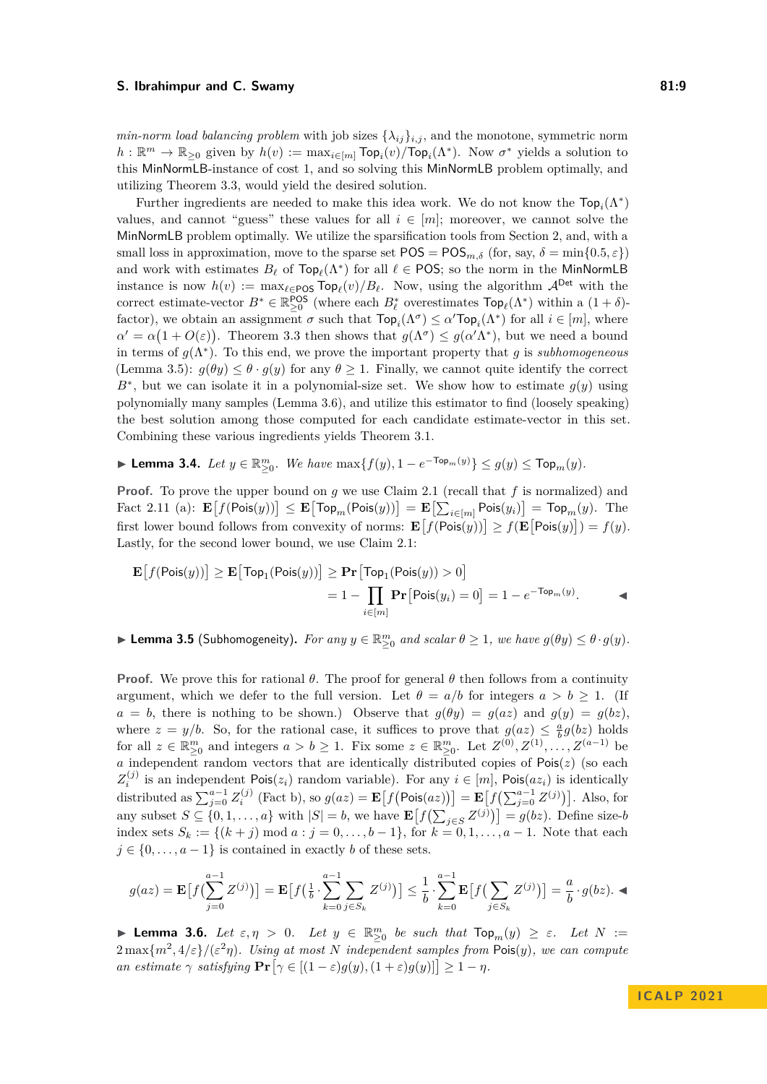*min-norm load balancing problem* with job sizes  $\{\lambda_{ij}\}_{i,j}$ , and the monotone, symmetric norm  $h: \mathbb{R}^m \to \mathbb{R}_{\geq 0}$  given by  $h(v) := \max_{i \in [m]} \text{Top}_i(v) / \text{Top}_i(\Lambda^*)$ . Now  $\sigma^*$  yields a solution to this MinNormLB-instance of cost 1, and so solving this MinNormLB problem optimally, and utilizing Theorem [3.3,](#page-7-2) would yield the desired solution.

Further ingredients are needed to make this idea work. We do not know the  $\mathsf{Top}_i(\Lambda^*)$ values, and cannot "guess" these values for all  $i \in [m]$ ; moreover, we cannot solve the MinNormLB problem optimally. We utilize the sparsification tools from Section [2,](#page-3-2) and, with a small loss in approximation, move to the sparse set  $POS = POS_{m,\delta}$  (for, say,  $\delta = \min\{0.5, \varepsilon\}$ ) and work with estimates  $B_{\ell}$  of  $\textsf{Top}_{\ell}(\Lambda^*)$  for all  $\ell \in \textsf{POS}$ ; so the norm in the MinNormLB instance is now  $h(v) := \max_{\ell \in \text{POS}} \text{Top}_{\ell}(v)/B_{\ell}$ . Now, using the algorithm  $\mathcal{A}^{\text{Det}}$  with the correct estimate-vector  $B^* \in \mathbb{R}_{\geq 0}^{\text{POS}}$  (where each  $B^*_{\ell}$  overestimates  $\text{Top}_{\ell}(\Lambda^*)$  within a  $(1 + \delta)$ factor), we obtain an assignment  $\sigma$  such that  $\text{Top}_i(\Lambda^{\sigma}) \leq \alpha' \text{Top}_i(\Lambda^*)$  for all  $i \in [m]$ , where  $\alpha' = \alpha(1 + O(\varepsilon))$ . Theorem [3.3](#page-7-2) then shows that  $g(\Lambda^{\sigma}) \leq g(\alpha' \Lambda^*)$ , but we need a bound in terms of  $g(\Lambda^*)$ . To this end, we prove the important property that *g* is *subhomogeneous* (Lemma [3.5\)](#page-8-0):  $g(\theta y) \leq \theta \cdot g(y)$  for any  $\theta \geq 1$ . Finally, we cannot quite identify the correct  $B^*$ , but we can isolate it in a polynomial-size set. We show how to estimate  $g(y)$  using polynomially many samples (Lemma [3.6\)](#page-8-1), and utilize this estimator to find (loosely speaking) the best solution among those computed for each candidate estimate-vector in this set. Combining these various ingredients yields Theorem [3.1.](#page-7-1)

<span id="page-8-2"></span>▶ **Lemma 3.4.** *Let*  $y \in \mathbb{R}_{\geq 0}^m$ *. We have*  $\max\{f(y), 1 - e^{-\text{Top}_m(y)}\} \leq g(y) \leq \text{Top}_m(y)$ *.* 

**Proof.** To prove the upper bound on *g* we use Claim [2.1](#page-3-3) (recall that *f* is normalized) and  $\text{Fact 2.11 (a):} \ \mathbf{E}\big[f(\textsf{Pois}(y))\big] \leq \mathbf{E}\big[\textsf{Top}_m(\textsf{Pois}(y))\big] = \mathbf{E}\big[\sum_{i \in [m]} \textsf{Pois}(y_i)\big] = \textsf{Top}_m(y). \ \ \text{The}$ first lower bound follows from convexity of norms:  $\mathbf{E}[f(\mathsf{Pois}(y))] \geq f(\mathbf{E}[\mathsf{Pois}(y)]) = f(y)$ . Lastly, for the second lower bound, we use Claim [2.1:](#page-3-3)

$$
\mathbf{E}\left[f(\text{Pois}(y))\right] \ge \mathbf{E}\left[\text{Top}_1(\text{Pois}(y))\right] \ge \mathbf{Pr}\left[\text{Top}_1(\text{Pois}(y)) > 0\right]
$$

$$
= 1 - \prod_{i \in [m]} \mathbf{Pr}\left[\text{Pois}(y_i) = 0\right] = 1 - e^{-\text{Top}_m(y)}.
$$

<span id="page-8-0"></span>► **Lemma 3.5** (Subhomogeneity). For any  $y \in \mathbb{R}_{\geq 0}^m$  and scalar  $\theta \geq 1$ , we have  $g(\theta y) \leq \theta \cdot g(y)$ .

**Proof.** We prove this for rational  $\theta$ . The proof for general  $\theta$  then follows from a continuity argument, which we defer to the full version. Let  $\theta = a/b$  for integers  $a > b \ge 1$ . (If  $a = b$ , there is nothing to be shown.) Observe that  $g(\theta y) = g(az)$  and  $g(y) = g(bz)$ , where  $z = y/b$ . So, for the rational case, it suffices to prove that  $g(az) \leq \frac{a}{b}g(bz)$  holds for all  $z \in \mathbb{R}^m_{\geq 0}$  and integers  $a > b \geq 1$ . Fix some  $z \in \mathbb{R}^m_{\geq 0}$ . Let  $Z^{(0)}, Z^{(1)}, \ldots, Z^{(a-1)}$  be *a* independent random vectors that are identically distributed copies of Pois(*z*) (so each  $Z_i^{(j)}$  is an independent Pois $(z_i)$  random variable). For any  $i \in [m]$ , Pois $(az_i)$  is identically distributed as  $\sum_{j=0}^{a-1} Z_i^{(j)}$  (Fact [b\)](#page-6-1), so  $g(az) = \mathbf{E}\left[f\left(\text{Pois}(az)\right)\right] = \mathbf{E}\left[f\left(\sum_{j=0}^{a-1} Z_j^{(j)}\right)\right]$ . Also, for any subset  $S \subseteq \{0, 1, \ldots, a\}$  with  $|S| = b$ , we have  $\mathbf{E}\left[f\left(\sum_{j \in S} Z^{(j)}\right)\right] = g(bz)$ . Define size-*b* index sets  $S_k := \{(k + j) \mod a : j = 0, \ldots, b - 1\}$ , for  $k = 0, 1, \ldots, a - 1$ . Note that each  $j \in \{0, \ldots, a-1\}$  is contained in exactly *b* of these sets.

$$
g(az) = \mathbf{E}\left[f\left(\sum_{j=0}^{a-1} Z^{(j)}\right)\right] = \mathbf{E}\left[f\left(\frac{1}{b} \cdot \sum_{k=0}^{a-1} \sum_{j \in S_k} Z^{(j)}\right)\right] \leq \frac{1}{b} \cdot \sum_{k=0}^{a-1} \mathbf{E}\left[f\left(\sum_{j \in S_k} Z^{(j)}\right)\right] = \frac{a}{b} \cdot g(bz). \blacktriangleleft
$$

<span id="page-8-1"></span>**• Lemma 3.6.** Let  $\varepsilon, \eta > 0$ . Let  $y \in \mathbb{R}^m_{\geq 0}$  be such that  $\text{Top}_m(y) \geq \varepsilon$ . Let  $N :=$  $2 \max\{m^2, 4/\varepsilon\}/(\varepsilon^2 \eta)$ *. Using at most N independent samples from* Pois(*y*)*, we can compute*  $\text{and} \ \epsilon \gamma \ \text{ satisfying } \Pr[\gamma \in [(1-\epsilon)g(y), (1+\epsilon)g(y)] \geq 1-\eta.$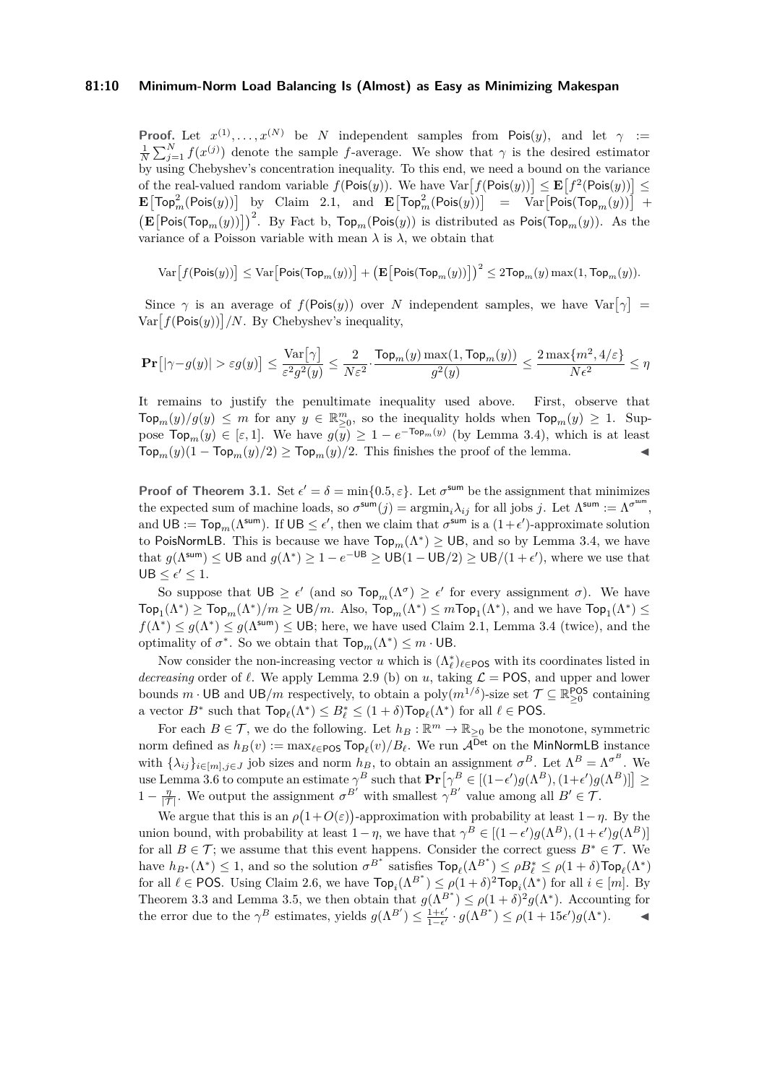## **81:10 Minimum-Norm Load Balancing Is (Almost) as Easy as Minimizing Makespan**

**Proof.** Let  $x^{(1)}, \ldots, x^{(N)}$  be *N* independent samples from Pois $(y)$ , and let  $\gamma$  :=  $\frac{1}{N}\sum_{j=1}^{N} f(x^{(j)})$  denote the sample *f*-average. We show that  $\gamma$  is the desired estimator by using Chebyshev's concentration inequality. To this end, we need a bound on the variance of the real-valued random variable  $f(Pois(y))$ . We have  $Var[f(Pois(y))] \leq E[f^2(Pois(y))]$  $\mathbf{E}\big[\mathsf{Top}^2_m(\mathsf{Pois}(y))\big]$  by Claim [2.1,](#page-3-3) and  $\mathbf{E}\big[\mathsf{Top}^2_m(\mathsf{Pois}(y))\big]$  =  $\mathrm{Var}\big[\mathsf{Pois}(\mathsf{Top}_m(y))\big]$  +  $\left(\mathbf{E}\left[\text{Pois}(\text{Top}_m(y))\right]\right)^2$ . By Fact [b,](#page-6-1)  $\text{Top}_m(\text{Pois}(y))$  is distributed as  $\text{Pois}(\text{Top}_m(y))$ . As the variance of a Poisson variable with mean  $\lambda$  is  $\lambda$ , we obtain that

$$
\textup{Var}\!\left[f(\mathsf{Pois}(y))\right] \leq \textup{Var}\!\left[\mathsf{Pois}(\mathsf{Top}_m(y))\right] + \left(\mathbf{E}\!\left[\mathsf{Pois}(\mathsf{Top}_m(y))\right]\right)^2 \leq 2\mathsf{Top}_m(y) \max(1,\mathsf{Top}_m(y)).
$$

Since  $\gamma$  is an average of  $f(\text{Pois}(y))$  over *N* independent samples, we have  $\text{Var}[\gamma] =$  $Var[f(Pois(y))] / N$ . By Chebyshev's inequality,

$$
\mathbf{Pr}\big[|\gamma - g(y)| > \varepsilon g(y)\big] \leq \frac{\text{Var}\big[\gamma\big]}{\varepsilon^2 g^2(y)} \leq \frac{2}{N\varepsilon^2} \cdot \frac{\text{Top}_m(y)\max(1,\text{Top}_m(y))}{g^2(y)} \leq \frac{2\max\{m^2,4/\varepsilon\}}{N\varepsilon^2} \leq \eta
$$

It remains to justify the penultimate inequality used above. First, observe that  $\text{Top}_m(y)/g(y) \leq m$  for any  $y \in \mathbb{R}^m_{\geq 0}$ , so the inequality holds when  $\text{Top}_m(y) \geq 1$ . Suppose  $\text{Top}_m(y) \in [\varepsilon, 1]$ . We have  $g(y) \geq 1 - e^{-\text{Top}_m(y)}$  (by Lemma [3.4\)](#page-8-2), which is at least  $\text{Top}_m(y)(1 - \text{Top}_m(y)/2) \geq \text{Top}_m(y)/2$ . This finishes the proof of the lemma.

**Proof of Theorem [3.1.](#page-7-1)** Set  $\epsilon' = \delta = \min\{0.5, \epsilon\}$ . Let  $\sigma^{\text{sum}}$  be the assignment that minimizes the expected sum of machine loads, so  $\sigma^{\text{sum}}(j) = \text{argmin}_i \lambda_{ij}$  for all jobs *j*. Let  $\Lambda^{\text{sum}} := \Lambda^{\sigma^{\text{sum}}}$ , and  $UB := Top_m(\Lambda^{sum})$ . If  $UB \leq \epsilon'$ , then we claim that  $\sigma^{sum}$  is a  $(1+\epsilon')$ -approximate solution to PoisNormLB. This is because we have  $\text{Top}_m(\Lambda^*) \geq \text{UB}$ , and so by Lemma [3.4,](#page-8-2) we have that  $g(\Lambda^{sum}) \leq \text{UB}$  and  $g(\Lambda^*) \geq 1 - e^{-\text{UB}} \geq \text{UB}(1 - \text{UB}/2) \geq \text{UB}/(1 + \epsilon')$ , where we use that  $UB \leq \epsilon' \leq 1.$ 

So suppose that  $UB \geq \epsilon'$  (and so  $Top_m(\Lambda^{\sigma}) \geq \epsilon'$  for every assignment  $\sigma$ ). We have  $\mathsf{Top}_1(\Lambda^*) \geq \mathsf{Top}_m(\Lambda^*)/m \geq \mathsf{UB}/m$ . Also,  $\mathsf{Top}_m(\Lambda^*) \leq m\mathsf{Top}_1(\Lambda^*)$ , and we have  $\mathsf{Top}_1(\Lambda^*) \leq m\mathsf{Top}_1(\Lambda^*)$  $f(\Lambda^*) \leq g(\Lambda^*) \leq g(\Lambda^{\text{sum}}) \leq \text{UB}$ ; here, we have used Claim [2.1,](#page-3-3) Lemma [3.4](#page-8-2) (twice), and the optimality of  $\sigma^*$ . So we obtain that  $\mathsf{Top}_m(\Lambda^*) \leq m \cdot \mathsf{UB}$ .

Now consider the non-increasing vector *u* which is  $(\Lambda_{\ell}^{*})_{\ell \in \text{POS}}$  with its coordinates listed in *decreasing* order of  $\ell$ . We apply Lemma [2.9](#page-6-2) (b) on *u*, taking  $\mathcal{L} = \text{POS}$ , and upper and lower bounds  $m \cdot \text{UB}$  and  $\text{UB}/m$  respectively, to obtain a poly $(m^{1/\delta})$ -size set  $\mathcal{T} \subseteq \mathbb{R}_{\geq 0}^{\text{POS}}$  containing a vector  $B^*$  such that  $\textsf{Top}_{\ell}(\Lambda^*) \leq B_{\ell}^* \leq (1+\delta)\textsf{Top}_{\ell}(\Lambda^*)$  for all  $\ell \in \textsf{POS}.$ 

For each  $B \in \mathcal{T}$ , we do the following. Let  $h_B: \mathbb{R}^m \to \mathbb{R}_{\geq 0}$  be the monotone, symmetric norm defined as  $h_B(v) := \max_{\ell \in \text{POS}} \text{Top}_{\ell}(v)/B_{\ell}$ . We run  $\mathcal{A}^{\text{Det}}$  on the MinNormLB instance with  $\{\lambda_{ij}\}_{i\in[m],j\in J}$  job sizes and norm  $h_B$ , to obtain an assignment  $\sigma^B$ . Let  $\Lambda^B = \Lambda^{\sigma^B}$ . We use Lemma [3.6](#page-8-1) to compute an estimate  $\gamma^B$  such that  $\mathbf{Pr}[\gamma^B \in [(1-\epsilon')g(\Lambda^B),(1+\epsilon')g(\Lambda^B)]$   $\geq$  $1 - \frac{\eta}{|{\mathcal{T}}|}$ . We output the assignment  $\sigma^{B'}$  with smallest  $\gamma^{B'}$  value among all  $B' \in {\mathcal{T}}$ .

We argue that this is an  $\rho(1+O(\varepsilon))$ -approximation with probability at least  $1-\eta$ . By the union bound, with probability at least  $1 - \eta$ , we have that  $\gamma^B \in [(1 - \epsilon')g(\Lambda^B), (1 + \epsilon')g(\Lambda^B)]$ for all  $B \in \mathcal{T}$ ; we assume that this event happens. Consider the correct guess  $B^* \in \mathcal{T}$ . We have  $h_{B^*}(\Lambda^*) \leq 1$ , and so the solution  $\sigma^{B^*}$  satisfies  $\textsf{Top}_\ell(\Lambda^{B^*}) \leq \rho B^*_{\ell} \leq \rho (1+\delta) \textsf{Top}_{\ell}(\Lambda^*)$ for all  $\ell \in \text{POS}$ . Using Claim [2.6,](#page-4-0) we have  $\text{Top}_i(\Lambda^{B^*}) \leq \rho(1+\delta)^2 \text{Top}_i(\Lambda^*)$  for all  $i \in [m]$ . By Theorem [3.3](#page-7-2) and Lemma [3.5,](#page-8-0) we then obtain that  $g(\Lambda^{B^*}) \leq \rho(1+\delta)^2 g(\Lambda^*)$ . Accounting for the error due to the  $\gamma^B$  estimates, yields  $g(\Lambda^{B'}) \leq \frac{1+\epsilon'}{1-\epsilon'}$  $\frac{1+\epsilon'}{1-\epsilon'}\cdot g(\Lambda^{B^*}) \leq \rho(1+15\epsilon')g(\Lambda^*).$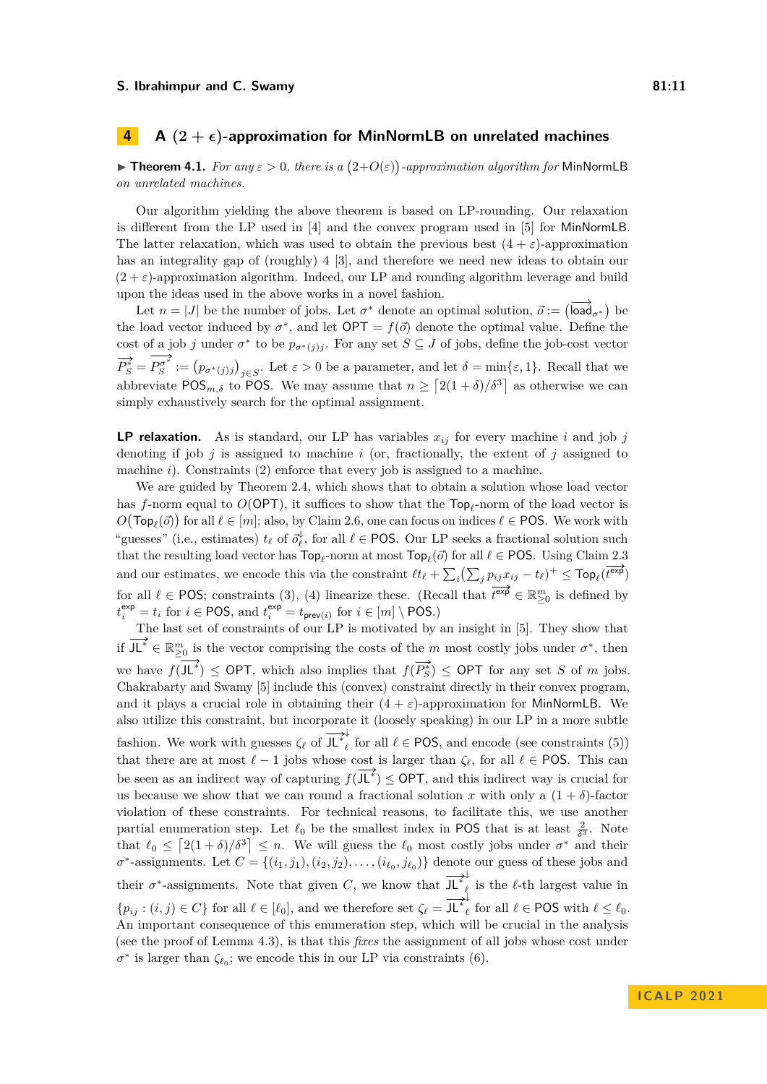# <span id="page-10-1"></span>**4 A**  $(2 + \epsilon)$ -approximation for MinNormLB on unrelated machines

<span id="page-10-0"></span>**Findment 4.1.** For any  $\varepsilon > 0$ , there is a  $(2+O(\varepsilon))$ -approximation algorithm for MinNormLB *on unrelated machines.*

Our algorithm yielding the above theorem is based on LP-rounding. Our relaxation is different from the LP used in [\[4\]](#page-19-0) and the convex program used in [\[5\]](#page-19-1) for MinNormLB. The latter relaxation, which was used to obtain the previous best  $(4 + \varepsilon)$ -approximation has an integrality gap of (roughly) 4 [\[3\]](#page-19-20), and therefore we need new ideas to obtain our  $(2 + \varepsilon)$ -approximation algorithm. Indeed, our LP and rounding algorithm leverage and build upon the ideas used in the above works in a novel fashion.

Let  $n = |J|$  be the number of jobs. Let  $\sigma^*$  denote an optimal solution,  $\vec{o} := (\overrightarrow{load}_{\sigma^*})$  be the load vector induced by  $\sigma^*$ , and let  $\mathsf{OPT} = f(\vec{\sigma})$  denote the optimal value. Define the cost of a job *j* under  $\sigma^*$  to be  $p_{\sigma^*(j)j}$ . For any set  $S \subseteq J$  of jobs, define the job-cost vector  $\overrightarrow{P_S^*} = P_S^{\sigma^*} := (p_{\sigma^*(j)j})_{j \in S}$ . Let  $\varepsilon > 0$  be a parameter, and let  $\delta = \min\{\varepsilon, 1\}$ . Recall that we abbreviate POS<sub>*m*, $\delta$ </sub> to POS. We may assume that  $n \geq \left[2(1+\delta)/\delta^3\right]$  as otherwise we can simply exhaustively search for the optimal assignment.

**LP relaxation.** As is standard, our LP has variables  $x_{ij}$  for every machine *i* and job *j* denoting if job *j* is assigned to machine *i* (or, fractionally, the extent of *j* assigned to machine *i*). Constraints [\(2\)](#page-11-1) enforce that every job is assigned to a machine.

We are guided by Theorem [2.4,](#page-3-0) which shows that to obtain a solution whose load vector has *f*-norm equal to *O*(OPT), it suffices to show that the Top*<sup>ℓ</sup>* -norm of the load vector is  $O(\mathsf{Top}_{\ell}(\vec{o}))$  for all  $\ell \in [m]$ ; also, by Claim [2.6,](#page-4-0) one can focus on indices  $\ell \in \mathsf{POS}$ . We work with "guesses" (i.e., estimates)  $t_{\ell}$  of  $\vec{\sigma}_{\ell}^{\downarrow}$ , for all  $\ell \in \text{POS}$ . Our LP seeks a fractional solution such that the resulting load vector has  $\text{Top}_{\ell}$ -norm at most  $\text{Top}_{\ell}(\vec{o})$  for all  $\ell \in \text{POS}$ . Using Claim [2.3](#page-3-1) and our estimates, we encode this via the constraint  $\ell t_{\ell} + \sum_i (\sum_j p_{ij} x_{ij} - t_{\ell})^+ \leq \text{Top}_{\ell}(\overline{t^{\exp}})$ for all  $\ell \in \text{POS}$ ; constraints [\(3\)](#page-11-2), [\(4\)](#page-11-3) linearize these. (Recall that  $\overline{\ell^{exp}} \in \mathbb{R}_{\geq 0}^m$  is defined by  $t_i^{\text{exp}} = t_i$  for  $i \in \text{POS}$ , and  $t_i^{\text{exp}} = t_{\text{prev}(i)}$  for  $i \in [m] \setminus \text{POS}$ .)

The last set of constraints of our LP is motivated by an insight in [\[5\]](#page-19-1). They show that if  $J\mathsf{L}^* \in \mathbb{R}_{\geq 0}^m$  is the vector comprising the costs of the *m* most costly jobs under  $\sigma^*$ , then we have  $f(\mathbf{J} \mathbf{L}^*) \leq \mathsf{OPT}$ , which also implies that  $f(\overline{P_S^*}) \leq \mathsf{OPT}$  for any set *S* of *m* jobs. Chakrabarty and Swamy [\[5\]](#page-19-1) include this (convex) constraint directly in their convex program, and it plays a crucial role in obtaining their  $(4 + \varepsilon)$ -approximation for MinNormLB. We also utilize this constraint, but incorporate it (loosely speaking) in our LP in a more subtle fashion. We work with guesses  $\zeta_{\ell}$  of  $\overrightarrow{J L}^*_{\ell}$  $\ell$  for all  $\ell \in \text{POS}$ , and encode (see constraints [\(5\)](#page-11-4)) that there are at most  $\ell - 1$  jobs whose cost is larger than  $\zeta_{\ell}$ , for all  $\ell \in \text{POS}$ . This can be seen as an indirect way of capturing  $f(\overline{\mathsf{J} \mathsf{L}^*}) \leq \mathsf{OPT}$ , and this indirect way is crucial for us because we show that we can round a fractional solution *x* with only a  $(1 + \delta)$ -factor violation of these constraints. For technical reasons, to facilitate this, we use another partial enumeration step. Let  $\ell_0$  be the smallest index in POS that is at least  $\frac{2}{\delta^3}$ . Note that  $\ell_0 \leq \left[2(1+\delta)/\delta^3\right] \leq n$ . We will guess the  $\ell_0$  most costly jobs under  $\sigma^*$  and their  $\sigma^*$ -assignments. Let  $C = \{(i_1, j_1), (i_2, j_2), \ldots, (i_{\ell_0}, j_{\ell_0})\}$  denote our guess of these jobs and their  $\sigma^*$ -assignments. Note that given *C*, we know that  $\overrightarrow{J L^*}_{\ell}$  $_{\ell}$  is the  $\ell\text{-th}$  largest value in  ${p_{ij}: (i,j) \in C}$  for all  $\ell \in [\ell_0]$ , and we therefore set  $\zeta_{\ell} = \overrightarrow{J L}^*_{\ell}$ *ℓ* for all  $\ell$  ∈ POS with  $\ell$  ≤  $\ell_0$ . An important consequence of this enumeration step, which will be crucial in the analysis (see the proof of Lemma [4.3\)](#page-11-0), is that this *fixes* the assignment of all jobs whose cost under  $\sigma^*$  is larger than  $\zeta_{\ell_0}$ ; we encode this in our LP via constraints [\(6\)](#page-11-5).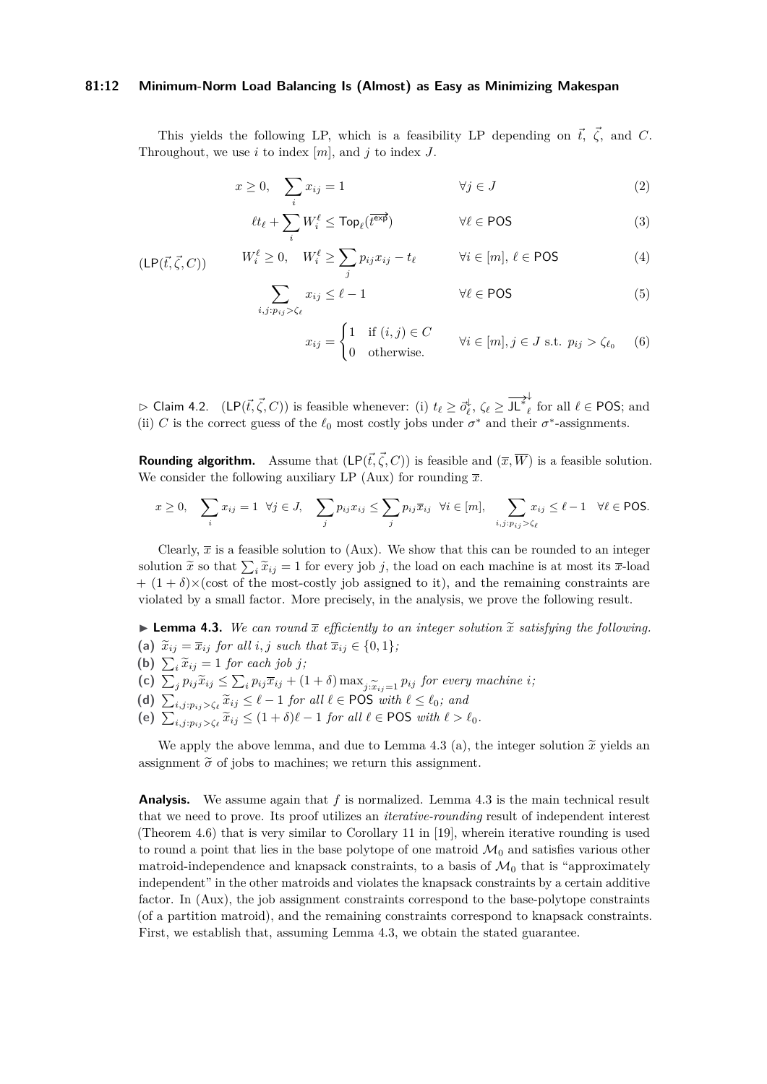#### **81:12 Minimum-Norm Load Balancing Is (Almost) as Easy as Minimizing Makespan**

This yields the following LP, which is a feasibility LP depending on  $\vec{t}$ ,  $\vec{\zeta}$ , and *C*. Throughout, we use *i* to index [*m*], and *j* to index *J*.

$$
x \ge 0, \quad \sum_{i} x_{ij} = 1 \qquad \qquad \forall j \in J \tag{2}
$$

$$
\ell t_{\ell} + \sum_{i} W_{i}^{\ell} \leq \text{Top}_{\ell}(\overline{t^{\text{exp}}}) \qquad \qquad \forall \ell \in \text{POS} \qquad (3)
$$

<span id="page-11-6"></span><span id="page-11-1"></span>
$$
(\mathsf{LP}(\vec{t}, \vec{\zeta}, C)) \qquad W_i^{\ell} \ge 0, \quad W_i^{\ell} \ge \sum_j p_{ij} x_{ij} - t_{\ell} \qquad \forall i \in [m], \, \ell \in \mathsf{POS} \tag{4}
$$

$$
\sum_{i,j:p_{ij}>\zeta_{\ell}} x_{ij} \leq \ell - 1 \qquad \qquad \forall \ell \in \text{POS} \tag{5}
$$

<span id="page-11-5"></span><span id="page-11-4"></span><span id="page-11-3"></span><span id="page-11-2"></span>
$$
x_{ij} = \begin{cases} 1 & \text{if } (i,j) \in C \\ 0 & \text{otherwise.} \end{cases} \quad \forall i \in [m], j \in J \text{ s.t. } p_{ij} > \zeta_{\ell_0} \quad (6)
$$

 $\rhd$  Claim 4.2. (LP( $\vec{t}, \vec{\zeta}, C$ )) is feasible whenever: (i)  $t_{\ell} \geq \vec{o}_{\ell}^{\downarrow}$ ,  $\zeta_{\ell} \geq \frac{1}{J L^*_{\ell}}$  $\ell$  for all  $\ell \in \text{POS}$ ; and (ii) *C* is the correct guess of the  $\ell_0$  most costly jobs under  $\sigma^*$  and their  $\sigma^*$ -assignments.

**Rounding algorithm.** Assume that  $(LP(\vec{t}, \vec{\zeta}, C))$  is feasible and  $(\overline{x}, \overline{W})$  is a feasible solution. We consider the following auxiliary LP [\(Aux\)](#page-13-0) for rounding  $\bar{x}$ .

$$
x \ge 0, \quad \sum_{i} x_{ij} = 1 \quad \forall j \in J, \quad \sum_{j} p_{ij} x_{ij} \le \sum_{j} p_{ij} \overline{x}_{ij} \quad \forall i \in [m], \quad \sum_{i,j: p_{ij} > \zeta_{\ell}} x_{ij} \le \ell - 1 \quad \forall \ell \in \text{POS}.
$$

Clearly,  $\bar{x}$  is a feasible solution to [\(Aux\)](#page-13-0). We show that this can be rounded to an integer solution  $\tilde{x}$  so that  $\sum_i \tilde{x}_{ij} = 1$  for every job *j*, the load on each machine is at most its  $\bar{x}$ -load  $+(1+\delta)\times(\text{cost of the most-costly job assigned to it}),$  and the remaining constraints are violated by a small factor. More precisely, in the analysis, we prove the following result.

<span id="page-11-0"></span>**• Lemma 4.3.** We can round  $\bar{x}$  efficiently to an integer solution  $\tilde{x}$  satisfying the following. (a)  $\tilde{x}_{ij} = \overline{x}_{ij}$  *for all i, j such that*  $\overline{x}_{ij} \in \{0, 1\}$ *;* 

- **(b)**  $\sum_i \tilde{x}_{ij} = 1$  *for each job j*;
- (c)  $\sum_{j} p_{ij} \tilde{x}_{ij} \leq \sum_{i} p_{ij} \overline{x}_{ij} + (1 + \delta) \max_{j: \tilde{x}_{ij}=1} p_{ij}$  for every machine i,<br>
(d)  $\sum_{i,j: p_{ij} > \zeta_{\ell}} \tilde{x}_{ij} \leq \ell 1$  for all  $\ell \in \text{POS with } \ell \leq \ell_0$ ; and<br>
(e)  $\sum_{i,j: p_{ij} > \zeta_{\ell}} \tilde{x}_{ij} \leq (1 + \delta)\ell 1$  for all  $\ell$
- 
- 

We apply the above lemma, and due to Lemma 4.3 (a), the integer solution  $\tilde{x}$  yields an assignment  $\tilde{\sigma}$  of jobs to machines; we return this assignment.

**Analysis.** We assume again that *f* is normalized. Lemma [4.3](#page-11-0) is the main technical result that we need to prove. Its proof utilizes an *iterative-rounding* result of independent interest (Theorem [4.6\)](#page-13-1) that is very similar to Corollary 11 in [\[19\]](#page-19-21), wherein iterative rounding is used to round a point that lies in the base polytope of one matroid  $\mathcal{M}_0$  and satisfies various other matroid-independence and knapsack constraints, to a basis of  $\mathcal{M}_0$  that is "approximately independent" in the other matroids and violates the knapsack constraints by a certain additive factor. In [\(Aux\)](#page-13-0), the job assignment constraints correspond to the base-polytope constraints (of a partition matroid), and the remaining constraints correspond to knapsack constraints. First, we establish that, assuming Lemma [4.3,](#page-11-0) we obtain the stated guarantee.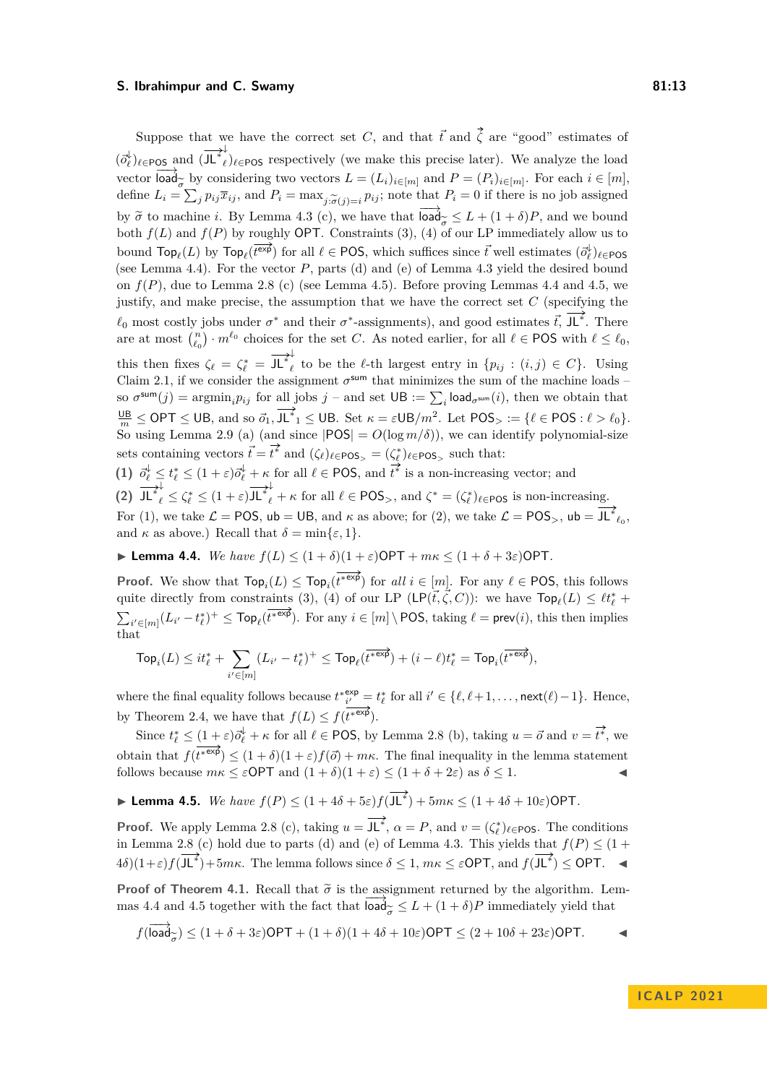Suppose that we have the correct set *C*, and that  $\vec{t}$  and  $\vec{\zeta}$  are "good" estimates of  $(\vec{o}_{\ell}^{\downarrow})_{\ell \in \texttt{POS}}$  and  $(\overrightarrow{\textbf{J} \textbf{L}}^*_{\ell}$  $_{\ell}$ ) $_{\ell \in \text{POS}}$  respectively (we make this precise later). We analyze the load vector  $\text{load}_{\sigma}$  by considering two vectors  $L = (L_i)_{i \in [m]}$  and  $P = (P_i)_{i \in [m]}$ . For each  $i \in [m]$ , define  $L_i = \sum_j p_{ij} \bar{x}_{ij}$ , and  $P_i = \max_{j: \tilde{\sigma}(j) = i} p_{ij}$ ; note that  $P_i = 0$  if there is no job assigned<br>  $\sum_j P_{ij} \bar{x}_{ij}$ , and  $P_i = \max_{j: \tilde{\sigma}(j) = i} p_{ij}$ ; note that  $P_i = 0$  if there is no job assigned by  $\tilde{\sigma}$  to machine *i*. By Lemma 4.3 (c), we have that  $\overrightarrow{load}_{\tilde{\sigma}} \leq L + (1 + \delta)P$ , and we bound both  $f(L)$  and  $f(P)$  by roughly OPT. Constraints [\(3\)](#page-11-2), [\(4\)](#page-11-3) of our LP immediately allow us to bound  $\text{Top}_{\ell}(L)$  by  $\text{Top}_{\ell}(\overline{t^{\exp}})$  for all  $\ell \in \text{POS}$ , which suffices since  $\vec{t}$  well estimates  $(\vec{o}_{\ell}^{\downarrow})_{\ell \in \text{POS}}$ (see Lemma [4.4\)](#page-12-0). For the vector *P*, parts (d) and (e) of Lemma [4.3](#page-11-0) yield the desired bound on  $f(P)$ , due to Lemma [2.8](#page-5-0) (c) (see Lemma [4.5\)](#page-12-1). Before proving Lemmas [4.4](#page-12-0) and [4.5,](#page-12-1) we justify, and make precise, the assumption that we have the correct set  $C$  (specifying the  $\ell_0$  most costly jobs under  $\sigma^*$  and their  $\sigma^*$ -assignments), and good estimates  $\vec{t}$ , JL<sup>\*</sup>. There are at most  $\binom{n}{\ell_0} \cdot m^{\ell_0}$  choices for the set *C*. As noted earlier, for all  $\ell \in \text{POS}$  with  $\ell \leq \ell_0$ , this then fixes  $\zeta_{\ell} = \zeta_{\ell}^* = \overrightarrow{\text{J\!L}}_{\ell}^*$  $\ell_{\ell}$  to be the  $\ell$ -th largest entry in  $\{p_{ij} : (i,j) \in C\}$ . Using Claim [2.1,](#page-3-3) if we consider the assignment  $\sigma^{sum}$  that minimizes the sum of the machine loads – so  $\sigma^{\text{sum}}(j) = \text{argmin}_i p_{ij}$  for all jobs  $j$  – and set  $\text{UB} := \sum_i \text{load}_{\sigma^{\text{sum}}}(i)$ , then we obtain that  $\frac{\mathsf{UB}}{m} \leq \mathsf{OPT} \leq \mathsf{UB}$ , and so  $\vec{o}_1, \mathsf{J}\mathsf{L}^*_{1} \leq \mathsf{UB}$ . Set  $\kappa = \varepsilon \mathsf{UB}/m^2$ . Let  $\mathsf{POS} > \mathsf{H} \in \mathsf{POS} : \ell > \ell_0$ . So using Lemma [2.9](#page-6-2) (a) (and since  $|POS| = O(log m/\delta)$ ), we can identify polynomial-size sets containing vectors  $\vec{t} = \vec{t}^*$  and  $(\zeta_\ell)_{\ell \in \text{POS}_>} = (\zeta_\ell^*)_{\ell \in \text{POS}_>}$  such that:

(1)  $\vec{o}_{\ell}^{\downarrow} \leq t_{\ell}^* \leq (1+\varepsilon)\vec{o}_{\ell}^{\downarrow} + \kappa$  for all  $\ell \in \text{POS}$ , and  $\vec{t}^*$  is a non-increasing vector; and **(2)**  $\overrightarrow{\mathbf{J\mathbf{L}}^*_{\ell}} \leq \zeta_{\ell}^* \leq (1+\varepsilon)\overrightarrow{\mathbf{J\mathbf{L}}^*_{\ell}} + \kappa$  for all  $\ell \in \text{POS}_{>}$ , and  $\zeta^* = (\zeta_{\ell}^*)_{\ell \in \text{POS}}$  is non-increasing. For (1), we take  $\mathcal{L} = \text{POS}$ ,  $ub = \text{UB}$ , and  $\kappa$  as above; for (2), we take  $\mathcal{L} = \text{POS}_{>}$ ,  $ub = \overline{\text{JL}^*}_{\ell_0}$ , and  $\kappa$  as above.) Recall that  $\delta = \min\{\varepsilon, 1\}.$ 

<span id="page-12-0"></span> $\blacktriangleright$  **Lemma 4.4.** *We have*  $f(L) \leq (1 + \delta)(1 + \varepsilon)$ OPT +  $m\kappa \leq (1 + \delta + 3\varepsilon)$ OPT.

**Proof.** We show that  $\text{Top}_i(L) \leq \text{Top}_i(\overline{t^{* \exp}})$  for all  $i \in [m]$ . For any  $\ell \in \text{POS}$ , this follows quite directly from constraints [\(3\)](#page-11-2), [\(4\)](#page-11-3) of our LP (LP( $\vec{t}, \vec{\zeta}, C$ )): we have  $\text{Top}_{\ell}(L) \leq \ell t_{\ell}^*$  +  $\sum_{i' \in [m]} (L_{i'} - t_{\ell}^*)^+ \leq \text{Top}_{\ell}(\overline{t^{* \exp}})$ . For any  $i \in [m] \setminus \text{POS}$ , taking  $\ell = \text{prev}(i)$ , this then implies that

$$
\mathsf{Top}_i(L) \leq it_\ell^* + \sum_{i' \in [m]} (L_{i'} - t_\ell^*)^+ \leq \mathsf{Top}_\ell(\overline{t^{* \exp}}) + (i - \ell)t_\ell^* = \mathsf{Top}_i(\overline{t^{* \exp}}),
$$

where the final equality follows because  $t^*_{i'}^{\text{exp}} = t^*_{\ell}$  for all  $i' \in {\ell, \ell+1, \ldots, \text{next}(\ell)-1}.$  Hence, by Theorem [2.4,](#page-3-0) we have that  $f(L) \leq f(\overline{t^{*}}^{\exp}).$ 

Since  $t_{\ell}^* \leq (1+\varepsilon)\overrightarrow{o}_{\ell}^{\downarrow} + \kappa$  for all  $\ell \in \text{POS}$ , by Lemma [2.8](#page-5-0) (b), taking  $u = \overrightarrow{o}$  and  $v = \overrightarrow{t^*}$ , we obtain that  $f(t^{*exp}) \leq (1+\delta)(1+\varepsilon)f(\vec{o}) + m\kappa$ . The final inequality in the lemma statement follows because  $m\kappa \leq \varepsilon$ OPT and  $(1+\delta)(1+\varepsilon) \leq (1+\delta+2\varepsilon)$  as  $\delta \leq 1$ .

<span id="page-12-1"></span>▶ **Lemma 4.5.** *We have*  $f(P) \leq (1 + 4\delta + 5\varepsilon) f(\overline{J L^*}) + 5m\kappa \leq (1 + 4\delta + 10\varepsilon) \text{OPT}$ .

**Proof.** We apply Lemma [2.8](#page-5-0) (c), taking  $u = \overline{\mathsf{JL}^*}$ ,  $\alpha = P$ , and  $v = (\zeta_\ell^*)_{\ell \in \mathsf{POS}}$ . The conditions in Lemma [2.8](#page-5-0) (c) hold due to parts (d) and (e) of Lemma [4.3.](#page-11-0) This yields that  $f(P) \leq (1 +$  $4\delta$ ) $(1+\varepsilon)f(\overline{JL^*})+5m\kappa$ . The lemma follows since  $\delta \leq 1$ ,  $m\kappa \leq \varepsilon$ OPT, and  $f(\overline{JL^*}) \leq$ OPT.  $\blacktriangleleft$ 

**Proof of Theorem [4.1.](#page-10-0)** Recall that  $\tilde{\sigma}$  is the assignment returned by the algorithm. Lem-mas [4.4](#page-12-0) and [4.5](#page-12-1) together with the fact that  $\overline{\text{load}}_{\sigma} \leq L + (1 + \delta)P$  immediately yield that

$$
f(\overrightarrow{\text{load}}_{\widetilde{\sigma}}) \leq (1 + \delta + 3\varepsilon) \text{OPT} + (1 + \delta)(1 + 4\delta + 10\varepsilon) \text{OPT} \leq (2 + 10\delta + 23\varepsilon) \text{OPT}.
$$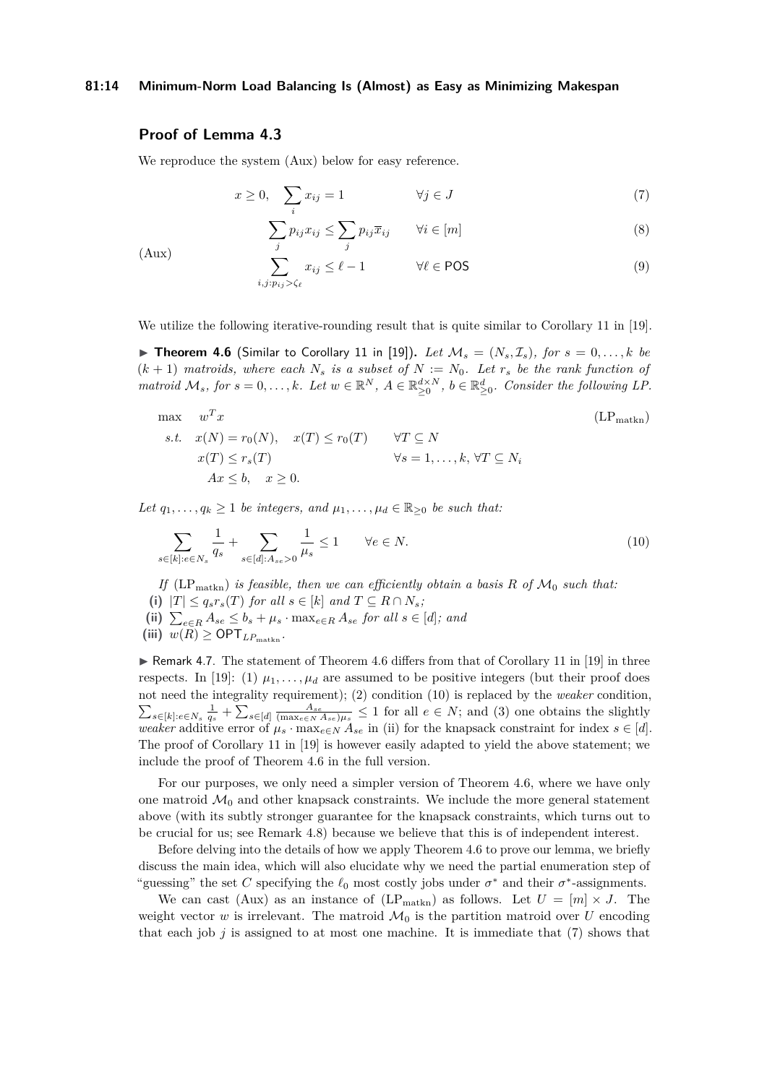## **81:14 Minimum-Norm Load Balancing Is (Almost) as Easy as Minimizing Makespan**

# **Proof of Lemma [4.3](#page-11-0)**

<span id="page-13-4"></span><span id="page-13-0"></span>(Aux)

We reproduce the system [\(Aux\)](#page-13-0) below for easy reference.

$$
x \ge 0, \quad \sum_{i} x_{ij} = 1 \qquad \qquad \forall j \in J \tag{7}
$$

<span id="page-13-6"></span><span id="page-13-5"></span><span id="page-13-2"></span>
$$
\sum_{j} p_{ij} x_{ij} \le \sum_{j} p_{ij} \overline{x}_{ij} \qquad \forall i \in [m]
$$
\n(8)

$$
\sum_{i,j:p_{ij}>\zeta_{\ell}}^{\prime} x_{ij} \leq \ell - 1 \qquad \forall \ell \in \text{POS}
$$
\n(9)

<span id="page-13-1"></span>We utilize the following iterative-rounding result that is quite similar to Corollary 11 in [\[19\]](#page-19-21).

 $\triangleright$  **Theorem 4.6** (Similar to Corollary 11 in [\[19\]](#page-19-21)). Let  $\mathcal{M}_s = (N_s, \mathcal{I}_s)$ , for  $s = 0, \ldots, k$  be  $(k+1)$  *matroids, where each*  $N_s$  *is a subset of*  $N := N_0$ *. Let*  $r_s$  *be the rank function of matroid*  $\mathcal{M}_s$ , for  $s = 0, \ldots, k$ *. Let*  $w \in \mathbb{R}^N$ ,  $A \in \mathbb{R}_{\geq 0}^{\mathcal{d} \times N}$ ,  $b \in \mathbb{R}_{\geq 0}^d$ *. Consider the following LP.* 

$$
\begin{aligned}\n\max \quad & w^T x & \quad (LP_{\text{math}}) \\
\text{s.t.} \quad & x(N) = r_0(N), \quad x(T) \le r_0(T) \quad \forall T \subseteq N \\
& x(T) \le r_s(T) & \forall s = 1, \dots, k, \forall T \subseteq N_i \\
& Ax \le b, \quad x \ge 0.\n\end{aligned}
$$
\n
$$
(LP_{\text{math}})
$$

*Let*  $q_1, \ldots, q_k \geq 1$  *be integers, and*  $\mu_1, \ldots, \mu_d \in \mathbb{R}_{\geq 0}$  *be such that:* 

<span id="page-13-3"></span>
$$
\sum_{s \in [k]: e \in N_s} \frac{1}{q_s} + \sum_{s \in [d]: A_{se} > 0} \frac{1}{\mu_s} \le 1 \qquad \forall e \in N.
$$
\n
$$
(10)
$$

*If*  $(LP<sub>math</sub>)$  *is feasible, then we can efficiently obtain a basis*  $R$  *of*  $M<sub>0</sub>$  *such that:* (i)  $|T| \leq q_s r_s(T)$  *for all*  $s \in [k]$  *and*  $T \subseteq R \cap N_s$ *;* (ii)  $\sum_{e \in R} A_{se} \leq b_s + \mu_s \cdot \max_{e \in R} A_{se}$  *for all*  $s \in [d]$ *; and*  $(iii)$   $w(R) \geq \text{OPT}_{LP_{math}}$ 

 $\triangleright$  Remark 4.7. The statement of Theorem [4.6](#page-13-1) differs from that of Corollary 11 in [\[19\]](#page-19-21) in three respects. In [\[19\]](#page-19-21): (1)  $\mu_1, \ldots, \mu_d$  are assumed to be positive integers (but their proof does not need the integrality requirement); (2) condition [\(10\)](#page-13-3) is replaced by the *weaker* condition,  $\sum_{s\in[k]:e\in N_s}\frac{1}{q_s}+\sum_{s\in[d]}\frac{A_{se}}{(\max_{e\in N}A_{se})\mu_s}\leq 1$  for all  $e\in N$ ; and (3) one obtains the slightly *weaker* additive error of  $\mu_s \cdot \max_{e \in N} A_{se}$  in (ii) for the knapsack constraint for index  $s \in [d]$ . The proof of Corollary 11 in [\[19\]](#page-19-21) is however easily adapted to yield the above statement; we include the proof of Theorem [4.6](#page-13-1) in the full version.

For our purposes, we only need a simpler version of Theorem [4.6,](#page-13-1) where we have only one matroid  $\mathcal{M}_0$  and other knapsack constraints. We include the more general statement above (with its subtly stronger guarantee for the knapsack constraints, which turns out to be crucial for us; see Remark [4.8\)](#page-15-2) because we believe that this is of independent interest.

Before delving into the details of how we apply Theorem [4.6](#page-13-1) to prove our lemma, we briefly discuss the main idea, which will also elucidate why we need the partial enumeration step of "guessing" the set *C* specifying the  $\ell_0$  most costly jobs under  $\sigma^*$  and their  $\sigma^*$ -assignments.

We can cast [\(Aux\)](#page-13-0) as an instance of (LP<sub>[matkn](#page-13-2)</sub>) as follows. Let  $U = [m] \times J$ . The weight vector *w* is irrelevant. The matroid  $\mathcal{M}_0$  is the partition matroid over *U* encoding that each job  $j$  is assigned to at most one machine. It is immediate that  $(7)$  shows that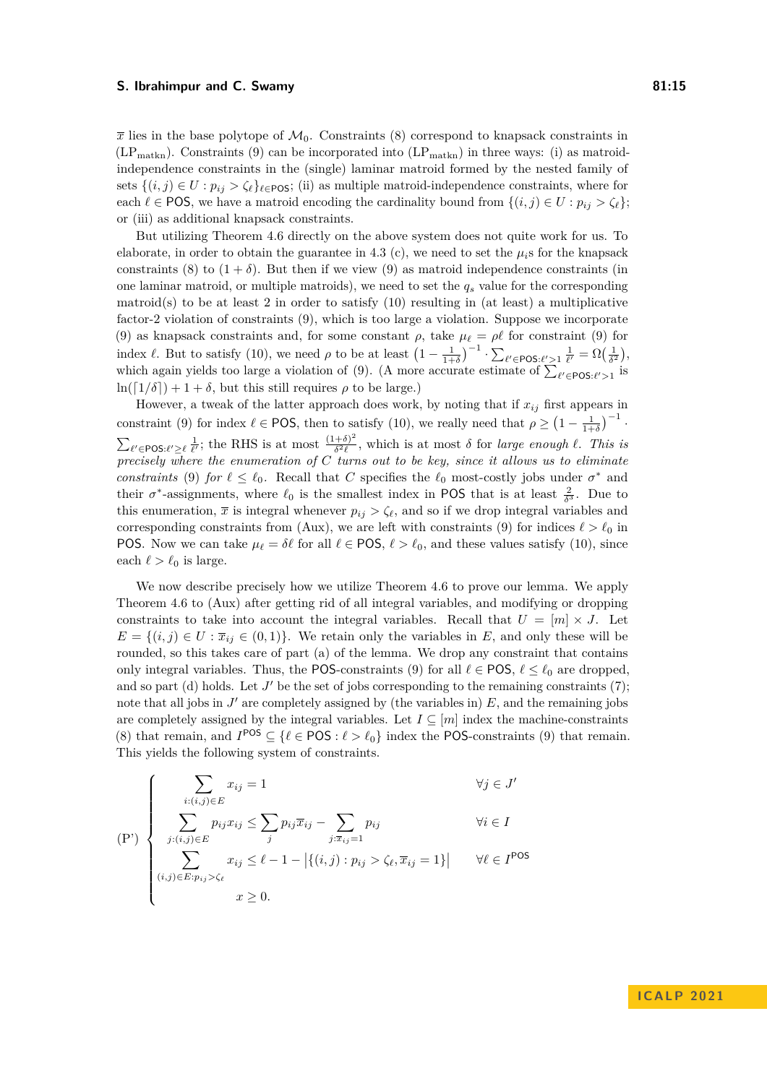$\bar{x}$  lies in the base polytope of  $\mathcal{M}_0$ . Constraints [\(8\)](#page-13-5) correspond to knapsack constraints in  $(LP<sub>math</sub>)$ . Constraints [\(9\)](#page-13-6) can be incorporated into  $(LP<sub>math</sub>)$  in three ways: (i) as matroidindependence constraints in the (single) laminar matroid formed by the nested family of sets  $\{(i, j) \in U : p_{ij} > \zeta_\ell\}_{\ell \in \text{POS}}$ ; (ii) as multiple matroid-independence constraints, where for each  $\ell \in \text{POS}$ , we have a matroid encoding the cardinality bound from  $\{(i, j) \in U : p_{ij} > \zeta_{\ell}\}\;$ ; or (iii) as additional knapsack constraints.

But utilizing Theorem [4.6](#page-13-1) directly on the above system does not quite work for us. To elaborate, in order to obtain the guarantee in 4.3 (c), we need to set the  $\mu_i$ s for the knapsack constraints [\(8\)](#page-13-5) to  $(1 + \delta)$ . But then if we view [\(9\)](#page-13-6) as matroid independence constraints (in one laminar matroid, or multiple matroids), we need to set the *q<sup>s</sup>* value for the corresponding matroid(s) to be at least 2 in order to satisfy  $(10)$  resulting in (at least) a multiplicative factor-2 violation of constraints [\(9\)](#page-13-6), which is too large a violation. Suppose we incorporate [\(9\)](#page-13-6) as knapsack constraints and, for some constant  $\rho$ , take  $\mu_{\ell} = \rho_{\ell}$  for constraint (9) for index *ℓ*. But to satisfy [\(10\)](#page-13-3), we need  $\rho$  to be at least  $\left(1 - \frac{1}{1+\delta}\right)^{-1} \cdot \sum_{\ell' \in \text{POS}:\ell' > 1} \frac{1}{\ell'} = \Omega\left(\frac{1}{\delta^2}\right)$ , which again yields too large a violation of [\(9\)](#page-13-6). (A more accurate estimate of  $\sum_{\ell' \in \text{POS}:\ell' > 1}$  is  $\ln([1/\delta]) + 1 + \delta$ , but this still requires  $\rho$  to be large.)

However, a tweak of the latter approach does work, by noting that if  $x_{ij}$  first appears in constraint [\(9\)](#page-13-6) for index  $\ell \in \text{POS}$ , then to satisfy [\(10\)](#page-13-3), we really need that  $\rho \geq (1 - \frac{1}{1+\delta})^{-1}$ .  $\sum_{\ell' \in \text{POS}:\ell' \geq \ell} \frac{1}{\ell'}$ ; the RHS is at most  $\frac{(1+\delta)^2}{\delta^2 \ell}$  $\frac{(+6)^{2}}{6^{2} \ell}$ , which is at most  $\delta$  for *large enough*  $\ell$ . *This is precisely where the enumeration of C turns out to be key, since it allows us to eliminate constraints* [\(9\)](#page-13-6) *for*  $\ell \leq \ell_0$ . Recall that *C* specifies the  $\ell_0$  most-costly jobs under  $\sigma^*$  and their  $\sigma^*$ -assignments, where  $\ell_0$  is the smallest index in POS that is at least  $\frac{2}{\delta^3}$ . Due to this enumeration,  $\bar{x}$  is integral whenever  $p_{ij} > \zeta_{\ell}$ , and so if we drop integral variables and corresponding constraints from [\(Aux\)](#page-13-0), we are left with constraints [\(9\)](#page-13-6) for indices  $\ell > \ell_0$  in POS. Now we can take  $\mu_{\ell} = \delta \ell$  for all  $\ell \in \text{POS}, \ell > \ell_0$ , and these values satisfy [\(10\)](#page-13-3), since each  $\ell > \ell_0$  is large.

We now describe precisely how we utilize Theorem [4.6](#page-13-1) to prove our lemma. We apply Theorem [4.6](#page-13-1) to [\(Aux\)](#page-13-0) after getting rid of all integral variables, and modifying or dropping constraints to take into account the integral variables. Recall that  $U = [m] \times J$ . Let  $E = \{(i, j) \in U : \overline{x}_{ij} \in (0, 1)\}.$  We retain only the variables in *E*, and only these will be rounded, so this takes care of part (a) of the lemma. We drop any constraint that contains only integral variables. Thus, the POS-constraints [\(9\)](#page-13-6) for all  $\ell \in \text{POS}, \ell \leq \ell_0$  are dropped, and so part (d) holds. Let  $J'$  be the set of jobs corresponding to the remaining constraints  $(7)$ ; note that all jobs in  $J'$  are completely assigned by (the variables in)  $E$ , and the remaining jobs are completely assigned by the integral variables. Let  $I \subseteq [m]$  index the machine-constraints [\(8\)](#page-13-5) that remain, and  $I^{POS} \subseteq {\ell \in POS : \ell > \ell_0}$  index the POS-constraints [\(9\)](#page-13-6) that remain. This yields the following system of constraints.

<span id="page-14-0"></span>
$$
\left\{\n\begin{aligned}\n\sum_{i:(i,j)\in E} x_{ij} &= 1 & \forall j \in J' \\
\sum_{j:(i,j)\in E} p_{ij} x_{ij} &\le \sum_j p_{ij} \overline{x}_{ij} - \sum_{j:\overline{x}_{ij}=1} p_{ij} & \forall i \in I \\
\sum_{(i,j)\in E: p_{ij} > \zeta_{\ell}} x_{ij} &\le \ell - 1 - \left|\{(i,j): p_{ij} > \zeta_{\ell}, \overline{x}_{ij} = 1\}\right| & \forall \ell \in I^{\text{POS}} \\
x \ge 0.\n\end{aligned}\n\right.
$$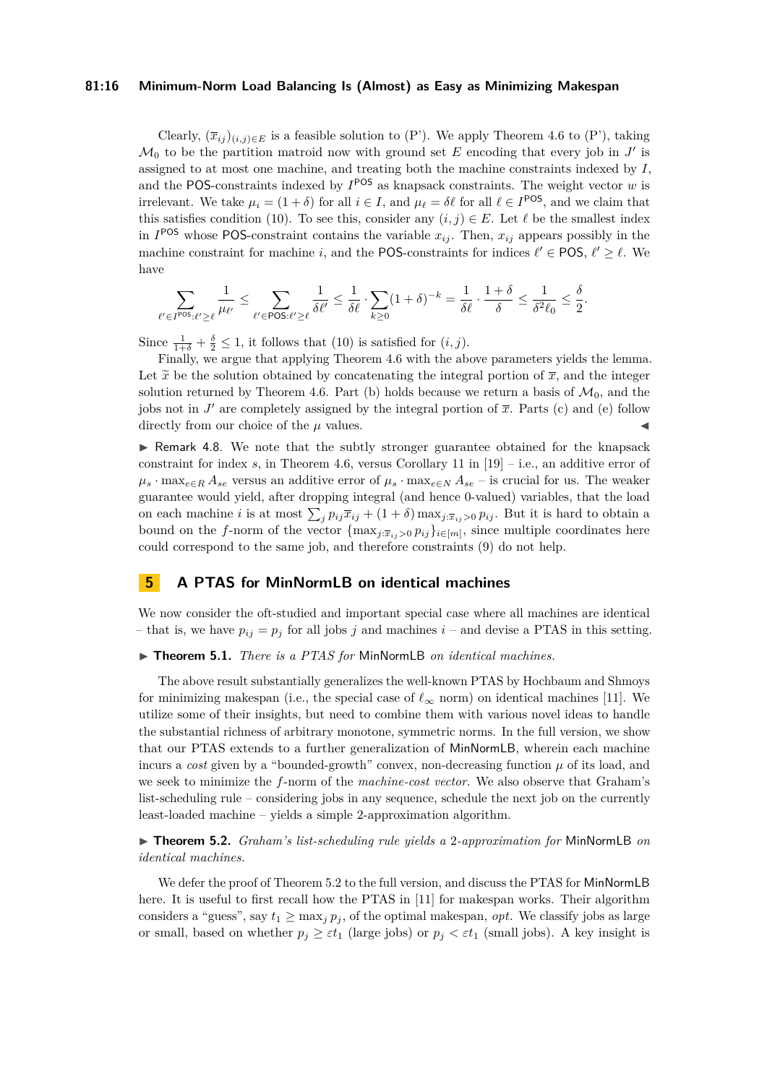## **81:16 Minimum-Norm Load Balancing Is (Almost) as Easy as Minimizing Makespan**

Clearly,  $(\overline{x}_{ij})_{(i,j)\in E}$  is a feasible solution to [\(P'\)](#page-14-0). We apply Theorem [4.6](#page-13-1) to (P'), taking  $\mathcal{M}_0$  to be the partition matroid now with ground set E encoding that every job in  $J'$  is assigned to at most one machine, and treating both the machine constraints indexed by *I*, and the POS-constraints indexed by  $I^{POS}$  as knapsack constraints. The weight vector *w* is irrelevant. We take  $\mu_i = (1 + \delta)$  for all  $i \in I$ , and  $\mu_\ell = \delta \ell$  for all  $\ell \in I^{POS}$ , and we claim that this satisfies condition [\(10\)](#page-13-3). To see this, consider any  $(i, j) \in E$ . Let  $\ell$  be the smallest index in  $I^{POS}$  whose POS-constraint contains the variable  $x_{ij}$ . Then,  $x_{ij}$  appears possibly in the machine constraint for machine *i*, and the POS-constraints for indices  $\ell' \in POS, \ell' \geq \ell$ . We have

$$
\sum_{\ell'\in I^{\mathsf{POS}}:\ell'\geq\ell}\frac{1}{\mu_{\ell'}}\leq \sum_{\ell'\in\mathsf{POS}:\ell'\geq\ell}\frac{1}{\delta\ell'}\leq \frac{1}{\delta\ell}\cdot \sum_{k\geq 0}(1+\delta)^{-k}=\frac{1}{\delta\ell}\cdot\frac{1+\delta}{\delta}\leq \frac{1}{\delta^2\ell_0}\leq \frac{\delta}{2}.
$$

Since  $\frac{1}{1+\delta} + \frac{\delta}{2} \leq 1$ , it follows that [\(10\)](#page-13-3) is satisfied for  $(i, j)$ .

Finally, we argue that applying Theorem [4.6](#page-13-1) with the above parameters yields the lemma. Let  $\tilde{x}$  be the solution obtained by concatenating the integral portion of  $\overline{x}$ , and the integer solution returned by Theorem [4.6.](#page-13-1) Part (b) holds because we return a basis of  $\mathcal{M}_0$ , and the jobs not in  $J'$  are completely assigned by the integral portion of  $\bar{x}$ . Parts (c) and (e) follow directly from our choice of the  $\mu$  values.

<span id="page-15-2"></span>▶ Remark 4.8. We note that the subtly stronger guarantee obtained for the knapsack constraint for index  $s$ , in Theorem [4.6,](#page-13-1) versus Corollary 11 in  $[19]$  – i.e., an additive error of  $\mu_s \cdot \max_{e \in R} A_{se}$  versus an additive error of  $\mu_s \cdot \max_{e \in N} A_{se}$  – is crucial for us. The weaker guarantee would yield, after dropping integral (and hence 0-valued) variables, that the load on each machine *i* is at most  $\sum_j p_{ij}\overline{x}_{ij} + (1+\delta) \max_{j:\overline{x}_{ij}>0} p_{ij}$ . But it is hard to obtain a bound on the *f*-norm of the vector  ${\max_{j:\bar{x}_{ij}>0} p_{ij}}_{i\in[m]}$ , since multiple coordinates here could correspond to the same job, and therefore constraints [\(9\)](#page-13-6) do not help.

# <span id="page-15-1"></span>**5 A PTAS for MinNormLB on identical machines**

We now consider the oft-studied and important special case where all machines are identical – that is, we have  $p_{ij} = p_j$  for all jobs *j* and machines  $i$  – and devise a PTAS in this setting.

#### <span id="page-15-0"></span>▶ **Theorem 5.1.** *There is a PTAS for* MinNormLB *on identical machines.*

The above result substantially generalizes the well-known PTAS by Hochbaum and Shmoys for minimizing makespan (i.e., the special case of  $\ell_{\infty}$  norm) on identical machines [\[11\]](#page-19-6). We utilize some of their insights, but need to combine them with various novel ideas to handle the substantial richness of arbitrary monotone, symmetric norms. In the full version, we show that our PTAS extends to a further generalization of MinNormLB, wherein each machine incurs a *cost* given by a "bounded-growth" convex, non-decreasing function  $\mu$  of its load, and we seek to minimize the *f*-norm of the *machine-cost vector*. We also observe that Graham's list-scheduling rule – considering jobs in any sequence, schedule the next job on the currently least-loaded machine – yields a simple 2-approximation algorithm.

<span id="page-15-3"></span>▶ **Theorem 5.2.** *Graham's list-scheduling rule yields a* 2*-approximation for* MinNormLB *on identical machines.*

We defer the proof of Theorem [5.2](#page-15-3) to the full version, and discuss the PTAS for MinNormLB here. It is useful to first recall how the PTAS in [\[11\]](#page-19-6) for makespan works. Their algorithm considers a "guess", say  $t_1 \ge \max_j p_j$ , of the optimal makespan, *opt*. We classify jobs as large or small, based on whether  $p_j \geq \varepsilon t_1$  (large jobs) or  $p_j < \varepsilon t_1$  (small jobs). A key insight is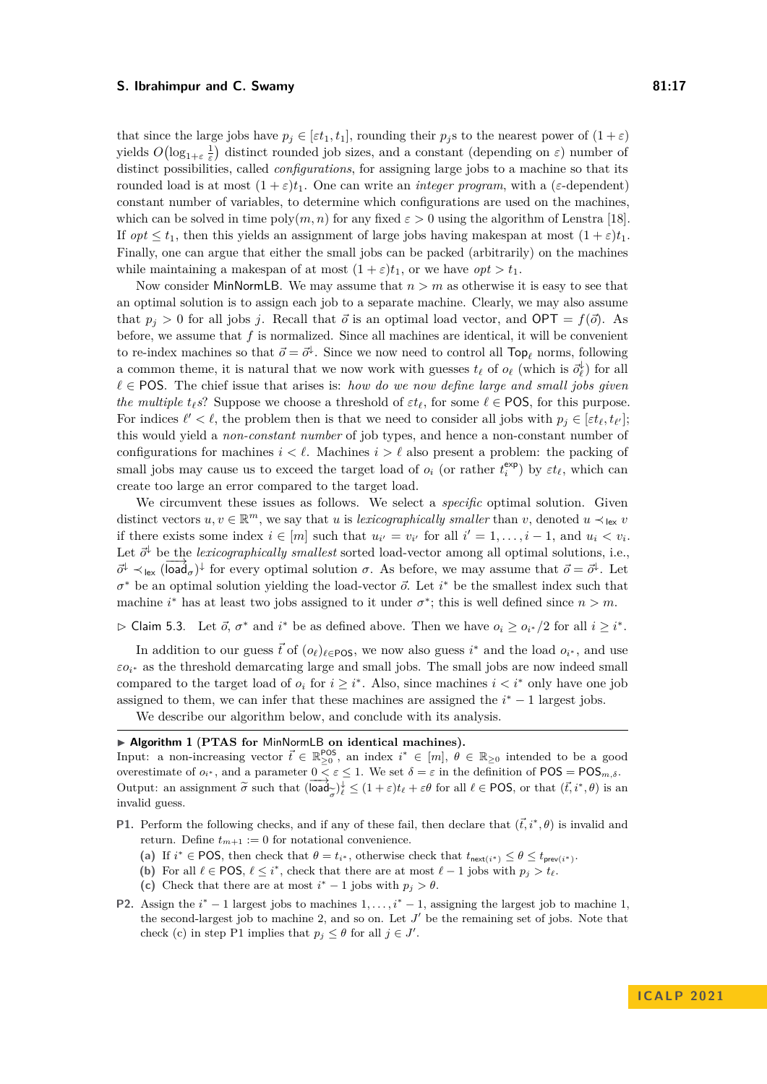that since the large jobs have  $p_j \in [\varepsilon t_1, t_1]$ , rounding their  $p_j$ s to the nearest power of  $(1 + \varepsilon)$ yields  $O(\log_{1+\varepsilon} \frac{1}{\varepsilon})$  distinct rounded job sizes, and a constant (depending on  $\varepsilon$ ) number of distinct possibilities, called *configurations*, for assigning large jobs to a machine so that its rounded load is at most  $(1 + \varepsilon)t_1$ . One can write an *integer program*, with a ( $\varepsilon$ -dependent) constant number of variables, to determine which configurations are used on the machines, which can be solved in time  $poly(m, n)$  for any fixed  $\varepsilon > 0$  using the algorithm of Lenstra [\[18\]](#page-19-22). If *opt*  $\leq t_1$ , then this yields an assignment of large jobs having makespan at most  $(1 + \varepsilon)t_1$ . Finally, one can argue that either the small jobs can be packed (arbitrarily) on the machines while maintaining a makespan of at most  $(1 + \varepsilon)t_1$ , or we have  $opt > t_1$ .

Now consider MinNormLB. We may assume that *n > m* as otherwise it is easy to see that an optimal solution is to assign each job to a separate machine. Clearly, we may also assume that  $p_j > 0$  for all jobs *j*. Recall that  $\vec{o}$  is an optimal load vector, and OPT =  $f(\vec{o})$ . As before, we assume that *f* is normalized. Since all machines are identical, it will be convenient to re-index machines so that  $\vec{o} = \vec{o}^{\downarrow}$ . Since we now need to control all  $\text{Top}_{\ell}$  norms, following a common theme, it is natural that we now work with guesses  $t_{\ell}$  of  $o_{\ell}$  (which is  $\vec{o}_{\ell}^{\downarrow}$ ) for all *ℓ* ∈ POS. The chief issue that arises is: *how do we now define large and small jobs given the multiple*  $t_{\ell} s$ ? Suppose we choose a threshold of  $\varepsilon t_{\ell}$ , for some  $\ell \in \text{POS}$ , for this purpose. For indices  $\ell' < \ell$ , the problem then is that we need to consider all jobs with  $p_j \in [\varepsilon t_\ell, t_{\ell'}]$ ; this would yield a *non-constant number* of job types, and hence a non-constant number of configurations for machines  $i < \ell$ . Machines  $i > \ell$  also present a problem: the packing of small jobs may cause us to exceed the target load of  $o_i$  (or rather  $t_i^{\exp}$ ) by  $\varepsilon t_\ell$ , which can create too large an error compared to the target load.

We circumvent these issues as follows. We select a *specific* optimal solution. Given distinct vectors  $u, v \in \mathbb{R}^m$ , we say that *u* is *lexicographically smaller* than *v*, denoted  $u \prec_{\text{lex}} v$ if there exists some index  $i \in [m]$  such that  $u_{i'} = v_{i'}$  for all  $i' = 1, \ldots, i - 1$ , and  $u_i < v_i$ . Let  $\vec{\sigma}^{\downarrow}$  be the *lexicographically smallest* sorted load-vector among all optimal solutions, i.e.,  $\vec{\sigma}^{\downarrow}$   $\prec$ <sub>lex</sub> (load<sub>σ</sub>)<sup>↓</sup> for every optimal solution *σ*. As before, we may assume that  $\vec{\sigma} = \vec{\sigma}^{\downarrow}$ . Let  $\sigma^*$  be an optimal solution yielding the load-vector  $\vec{o}$ . Let  $i^*$  be the smallest index such that machine *i*<sup>\*</sup> has at least two jobs assigned to it under  $\sigma^*$ ; this is well defined since  $n > m$ .

<span id="page-16-0"></span> $\triangleright$  Claim 5.3. Let  $\vec{o}$ ,  $\sigma^*$  and  $i^*$  be as defined above. Then we have  $o_i \geq o_{i^*}/2$  for all  $i \geq i^*$ .

In addition to our guess  $\vec{t}$  of  $(o_{\ell})_{\ell \in \text{POS}}$ , we now also guess  $i^*$  and the load  $o_{i^*}$ , and use  $\varepsilon o_i^*$  as the threshold demarcating large and small jobs. The small jobs are now indeed small compared to the target load of  $o_i$  for  $i \geq i^*$ . Also, since machines  $i < i^*$  only have one job assigned to them, we can infer that these machines are assigned the  $i^* - 1$  largest jobs.

We describe our algorithm below, and conclude with its analysis.

## ▶ **Algorithm 1** (**PTAS for** MinNormLB **on identical machines).**

Input: a non-increasing vector  $\vec{t} \in \mathbb{R}_{\geq 0}^{\text{POS}}$ , an index  $i^* \in [m], \theta \in \mathbb{R}_{\geq 0}$  intended to be a good overestimate of  $o_i^*$ , and a parameter  $0 \leq \varepsilon \leq 1$ . We set  $\delta = \varepsilon$  in the definition of POS = POS<sub>*m*, $\delta$ </sub>. Output: an assignment  $\widetilde{\sigma}$  such that (load<br>involid guess  $\left(\frac{1}{\sigma}\right)^{\downarrow} \leq (1+\varepsilon)t_{\ell} + \varepsilon\theta$  for all  $\ell \in \text{POS}$ , or that  $(\vec{t}, i^*, \theta)$  is an invalid guess.

- **P1.** Perform the following checks, and if any of these fail, then declare that  $(\vec{t}, i^*, \theta)$  is invalid and return. Define  $t_{m+1} := 0$  for notational convenience.
	- (a) If  $i^* \in \text{POS}$ , then check that  $\theta = t_{i^*}$ , otherwise check that  $t_{\text{next}(i^*)} \leq \theta \leq t_{\text{prev}(i^*)}$ .
	- (b) For all  $\ell \in \text{POS}, \ell \leq i^*$ , check that there are at most  $\ell 1$  jobs with  $p_j > t_\ell$ .
	- (c) Check that there are at most  $i^* 1$  jobs with  $p_j > \theta$ .
- **P2.** Assign the  $i^* 1$  largest jobs to machines  $1, \ldots, i^* 1$ , assigning the largest job to machine 1, the second-largest job to machine 2, and so on. Let  $J'$  be the remaining set of jobs. Note that check (c) in step P1 implies that  $p_j \leq \theta$  for all  $j \in J'$ .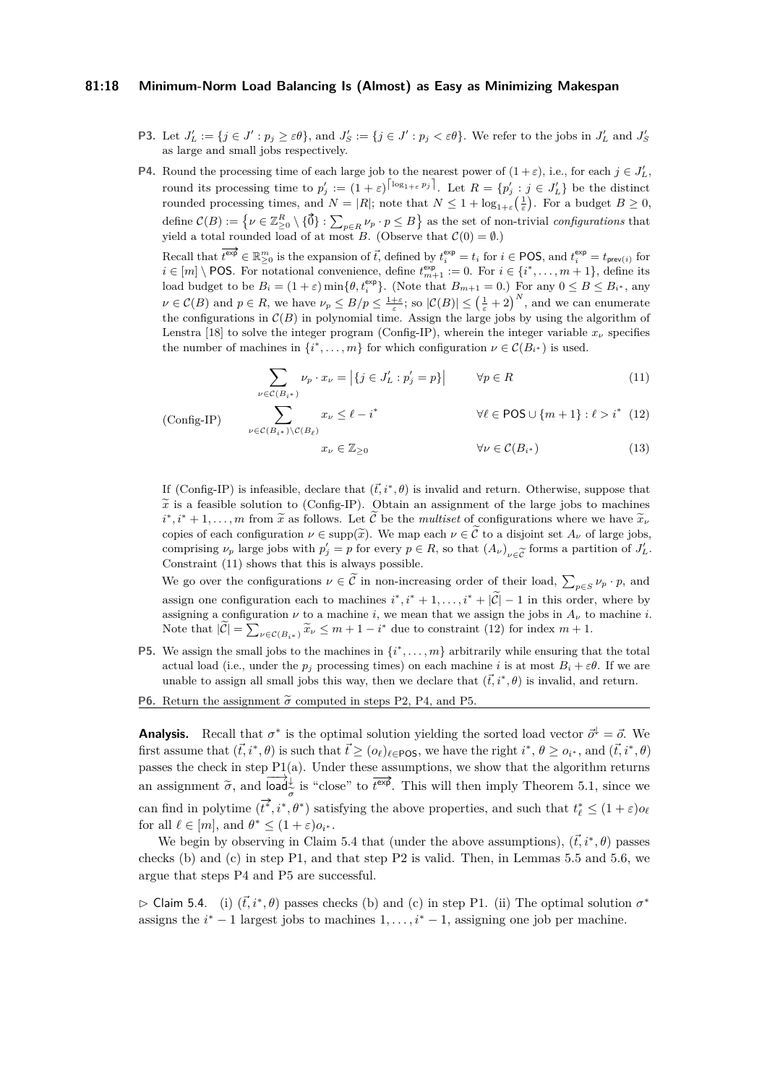## **81:18 Minimum-Norm Load Balancing Is (Almost) as Easy as Minimizing Makespan**

- **P3.** Let  $J'_L := \{j \in J' : p_j \ge \varepsilon \theta\}$ , and  $J'_S := \{j \in J' : p_j < \varepsilon \theta\}$ . We refer to the jobs in  $J'_L$  and  $J'_S$ as large and small jobs respectively.
- **P4.** Round the processing time of each large job to the nearest power of  $(1+\varepsilon)$ , i.e., for each  $j \in J'_L$ , round its processing time to  $p'_j := (1 + \varepsilon)^{\lceil \log_{1+\varepsilon} p_j \rceil}$ . Let  $R = \{p'_j : j \in J'_L\}$  be the distinct rounded processing times, and  $N = |R|$ ; note that  $N \leq 1 + \log_{1+\varepsilon}(\frac{1}{\varepsilon})$ . For a budget  $B \geq 0$ ,  $\text{define } \mathcal{C}(B) := \left\{ \nu \in \mathbb{Z}_{\geq 0}^R \setminus \{ \vec{0} \} : \sum_{p \in R} \nu_p \cdot p \leq B \right\} \text{ as the set of non-trivial configurations that }$ yield a total rounded load of at most *B*. (Observe that  $C(0) = \emptyset$ .)

Recall that  $\overline{t^{\exp}} \in \mathbb{R}_{\geq 0}^m$  is the expansion of  $\vec{t}$ , defined by  $t_i^{\exp} = t_i$  for  $i \in \text{POS}$ , and  $t_i^{\exp} = t_{\text{prev}(i)}$  for *i* ∈  $[m] \setminus$  POS. For notational convenience, define  $t_{m+1}^{\text{exp}} := 0$ . For  $i \in \{i^*, \ldots, m+1\}$ , define its load budget to be  $B_i = (1 + \varepsilon) \min\{\theta, t_i^{\exp}\}\$ . (Note that  $B_{m+1} = 0$ .) For any  $0 \le B \le B_{i^*}$ , any  $\nu \in \mathcal{C}(B)$  and  $p \in R$ , we have  $\nu_p \leq B/p \leq \frac{1+\varepsilon}{\varepsilon}$ ; so  $|\mathcal{C}(B)| \leq (\frac{1}{\varepsilon}+2)^N$ , and we can enumerate the configurations in  $\mathcal{C}(B)$  in polynomial time. Assign the large jobs by using the algorithm of Lenstra [\[18\]](#page-19-22) to solve the integer program [\(Config-IP\)](#page-17-0), wherein the integer variable  $x_\nu$  specifies the number of machines in  $\{i^*, \ldots, m\}$  for which configuration  $\nu \in \mathcal{C}(B_{i^*})$  is used.

$$
\sum_{\nu \in \mathcal{C}(B_{i^*})} \nu_p \cdot x_{\nu} = \left| \{ j \in J'_L : p'_j = p \} \right| \qquad \forall p \in R \tag{11}
$$

<span id="page-17-1"></span><span id="page-17-0"></span>
$$
(\rm{Config}\textrm{-}IP)
$$

 $\sum$  $ν$ ∈C(*B*<sub>*i*</sub>∗)</sub>\C(*B*<sub>*l*</sub>)  $x_{\nu} \leq \ell - i^*$  $∀\ell ∈ POS ∪ \{m+1\} : \ell > i^*$  (12)

<span id="page-17-2"></span>
$$
x_{\nu} \in \mathbb{Z}_{\geq 0} \qquad \qquad \forall \nu \in \mathcal{C}(B_{i^*}) \tag{13}
$$

If [\(Config-IP\)](#page-17-0) is infeasible, declare that  $(\vec{t}, i^*, \theta)$  is invalid and return. Otherwise, suppose that  $\tilde{x}$  is a feasible solution to [\(Config-IP\)](#page-17-0). Obtain an assignment of the large jobs to machines  $i^*, i^* + 1, \ldots, m$  from  $\tilde{x}$  as follows. Let  $\tilde{C}$  be the *multiset* of configurations where we have  $\tilde{x}_k$ <br>copies of each configuration  $u \in \text{supp}(\tilde{x})$ . We man each  $u \in \tilde{C}$  to a disjoint set A, of large jobs copies of each configuration  $\nu \in \text{supp}(\widetilde{x})$ . We map each  $\nu \in \widetilde{C}$  to a disjoint set  $A_{\nu}$  of large jobs, comprising  $\nu_p$  large jobs with  $p'_j = p$  for every  $p \in R$ , so that  $(A_\nu)_{\nu \in \widetilde{C}}$  forms a partition of  $J'_L$ .<br>Constraint (11) shows that this is always possible. Constraint [\(11\)](#page-17-1) shows that this is always possible.

We go over the configurations  $\nu \in \mathcal{C}$  in non-increasing order of their load,  $\sum_{p \in S} \nu_p \cdot p$ , and assign one configuration each to machines  $i^*, i^* + 1, \ldots, i^* + |\widetilde{\mathcal{C}}| - 1$  in this order, where by assigning a configuration  $\nu$  to a machine *i*, we mean that we assign the jobs in  $A_{\nu}$  to machine *i*. Note that  $|\tilde{\mathcal{C}}| = \sum_{\nu \in \mathcal{C}(B_{i^*})} \tilde{x}_{\nu} \leq m + 1 - i^*$  due to constraint [\(12\)](#page-17-2) for index  $m + 1$ .

- **P5.** We assign the small jobs to the machines in  $\{i^*, \ldots, m\}$  arbitrarily while ensuring that the total actual load (i.e., under the  $p_j$  processing times) on each machine *i* is at most  $B_i + \varepsilon \theta$ . If we are unable to assign all small jobs this way, then we declare that  $(\vec{t}, i^*, \theta)$  is invalid, and return.
- **P6.** Return the assignment  $\tilde{\sigma}$  computed in steps P2, P4, and P5.

**Analysis.** Recall that  $\sigma^*$  is the optimal solution yielding the sorted load vector  $\vec{\sigma}^{\downarrow} = \vec{o}$ . We first assume that  $(\vec{t}, i^*, \theta)$  is such that  $\vec{t} \geq (o_\ell)_{\ell \in \text{POS}}$ , we have the right  $i^*, \theta \geq o_{i^*}$ , and  $(\vec{t}, i^*, \theta)$ passes the check in step P1(a). Under these assumptions, we show that the algorithm returns an assignment  $\tilde{\sigma}$ , and  $\begin{bmatrix} \nabla \cdot \cdot & \nabla \cdot \cdot & \nabla \cdot \cdot \cdot \\ \nabla \cdot \cdot & \nabla \cdot \cdot \cdot \cdot \cdot \n\end{bmatrix}$  is "close" to  $\overline{t^{\exp}}$ . This will then imply Theorem [5.1,](#page-15-0) since we can find in polytime  $(\vec{t}^*, i^*, \theta^*)$  satisfying the above properties, and such that  $t^*_{\ell} \leq (1+\varepsilon)o_{\ell}$ for all  $\ell \in [m]$ , and  $\theta^* \leq (1+\varepsilon)o_{i^*}$ .

We begin by observing in Claim [5.4](#page-17-3) that (under the above assumptions),  $(\vec{t}, i^*, \theta)$  passes checks (b) and (c) in step P1, and that step P2 is valid. Then, in Lemmas [5.5](#page-17-4) and [5.6,](#page-18-0) we argue that steps P4 and P5 are successful.

<span id="page-17-4"></span><span id="page-17-3"></span> $\triangleright$  Claim 5.4. (i)  $(\vec{t}, i^*, \theta)$  passes checks (b) and (c) in step P1. (ii) The optimal solution  $\sigma^*$ assigns the  $i^* - 1$  largest jobs to machines  $1, \ldots, i^* - 1$ , assigning one job per machine.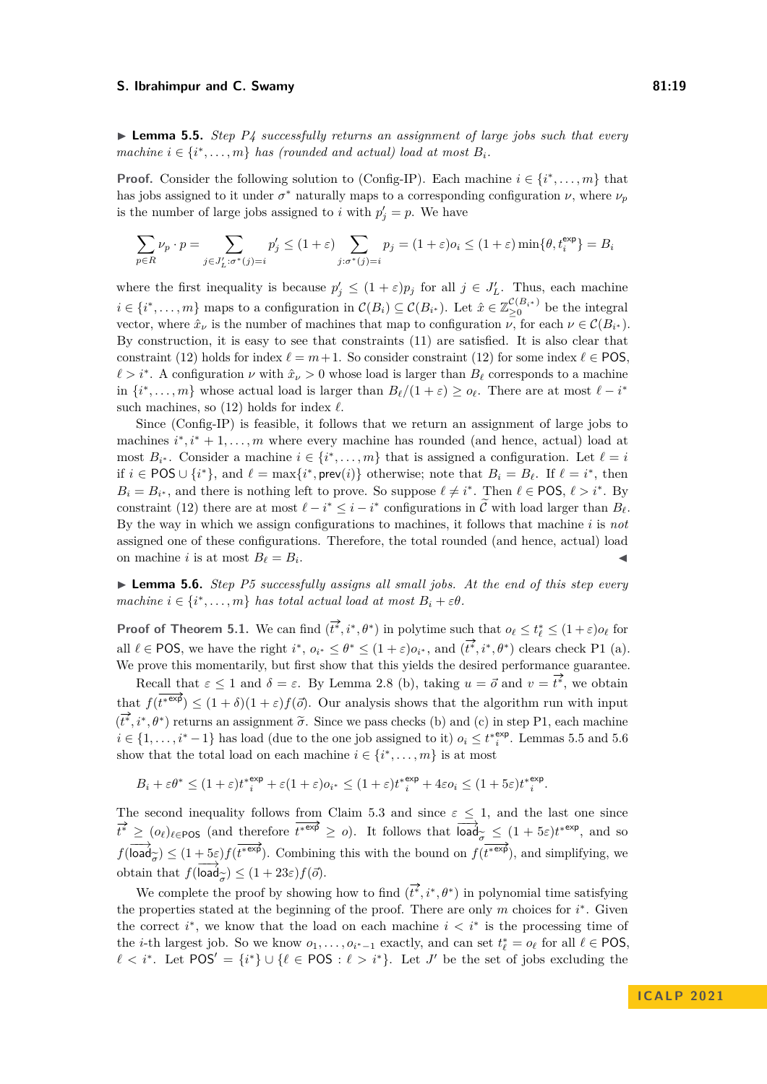▶ **Lemma 5.5.** *Step P4 successfully returns an assignment of large jobs such that every machine*  $i \in \{i^*, \ldots, m\}$  *has (rounded and actual) load at most*  $B_i$ *.* 

**Proof.** Consider the following solution to [\(Config-IP\)](#page-17-0). Each machine  $i \in \{i^*, \ldots, m\}$  that has jobs assigned to it under  $\sigma^*$  naturally maps to a corresponding configuration  $\nu$ , where  $\nu_p$ is the number of large jobs assigned to *i* with  $p'_j = p$ . We have

$$
\sum_{p \in R} \nu_p \cdot p = \sum_{j \in J'_L : \sigma^*(j) = i} p'_j \le (1 + \varepsilon) \sum_{j : \sigma^*(j) = i} p_j = (1 + \varepsilon) o_i \le (1 + \varepsilon) \min\{\theta, t_i^{\exp}\} = B_i
$$

where the first inequality is because  $p'_j \leq (1+\varepsilon)p_j$  for all  $j \in J'_L$ . Thus, each machine  $i \in \{i^*, \ldots, m\}$  maps to a configuration in  $\mathcal{C}(B_i) \subseteq \mathcal{C}(B_{i^*})$ . Let  $\hat{x} \in \mathbb{Z}_{\geq 0}^{\mathcal{C}(B_{i^*})}$  be the integral vector, where  $\hat{x}_{\nu}$  is the number of machines that map to configuration  $\nu$ , for each  $\nu \in C(B_{i^*})$ . By construction, it is easy to see that constraints [\(11\)](#page-17-1) are satisfied. It is also clear that constraint [\(12\)](#page-17-2) holds for index  $\ell = m + 1$ . So consider constraint (12) for some index  $\ell \in \text{POS}$ ,  $\ell > i^*$ . A configuration  $\nu$  with  $\hat{x}^{\prime} > 0$  whose load is larger than  $B_{\ell}$  corresponds to a machine in  $\{i^*, \ldots, m\}$  whose actual load is larger than  $B_{\ell}/(1+\varepsilon) \geq o_{\ell}$ . There are at most  $\ell - i^*$ such machines, so  $(12)$  holds for index  $\ell$ .

Since [\(Config-IP\)](#page-17-0) is feasible, it follows that we return an assignment of large jobs to machines  $i^*, i^* + 1, \ldots, m$  where every machine has rounded (and hence, actual) load at most  $B_{i^*}$ . Consider a machine  $i \in \{i^*, \ldots, m\}$  that is assigned a configuration. Let  $\ell = i$ if  $i \in \text{POS} \cup \{i^*\}$ , and  $\ell = \max\{i^*, \text{prev}(i)\}\$  otherwise; note that  $B_i = B_\ell$ . If  $\ell = i^*$ , then  $B_i = B_{i^*}$ , and there is nothing left to prove. So suppose  $\ell \neq i^*$ . Then  $\ell \in \text{POS}, \ell > i^*$ . By constraint [\(12\)](#page-17-2) there are at most  $\ell - i^* \leq i - i^*$  configurations in  $\widetilde{C}$  with load larger than  $B_{\ell}$ . By the way in which we assign configurations to machines, it follows that machine *i* is *not* assigned one of these configurations. Therefore, the total rounded (and hence, actual) load on machine *i* is at most  $B_\ell = B_i$ . . ◀

<span id="page-18-0"></span>▶ **Lemma 5.6.** *Step P5 successfully assigns all small jobs. At the end of this step every machine*  $i \in \{i^*, \ldots, m\}$  *has total actual load at most*  $B_i + \varepsilon \theta$ *.* 

**Proof of Theorem [5.1.](#page-15-0)** We can find  $(\overrightarrow{t^*}, i^*, \theta^*)$  in polytime such that  $o_\ell \leq t^*_{\ell} \leq (1+\varepsilon)o_\ell$  for all  $\ell \in \text{POS}$ , we have the right  $i^*, o_{i^*} \leq \theta^* \leq (1+\varepsilon)o_{i^*}$ , and  $(\overline{i^*}, i^*, \theta^*)$  clears check P1 (a). We prove this momentarily, but first show that this yields the desired performance guarantee.

Recall that  $\varepsilon \leq 1$  and  $\delta = \varepsilon$ . By Lemma [2.8](#page-5-0) (b), taking  $u = \vec{o}$  and  $v = t^*$ , we obtain that  $f(t^{*exp}) \leq (1+\delta)(1+\varepsilon)f(\vec{\sigma})$ . Our analysis shows that the algorithm run with input  $(\overline{t^*}, i^*, \theta^*)$  returns an assignment  $\tilde{\sigma}$ . Since we pass checks (b) and (c) in step P1, each machine  $i \in \{1, \ldots, i^* - 1\}$  has load (due to the one job assigned to it)  $o_i \leq t^{*\exp}_{i}$ . Lemmas [5.5](#page-17-4) and [5.6](#page-18-0) show that the total load on each machine  $i \in \{i^*, \ldots, m\}$  is at most

$$
B_i + \varepsilon \theta^* \le (1+\varepsilon)t_i^{*\exp} + \varepsilon (1+\varepsilon)o_{i^*} \le (1+\varepsilon)t_i^{*\exp} + 4\varepsilon o_i \le (1+5\varepsilon)t_i^{*\exp}.
$$

The second inequality follows from Claim [5.3](#page-16-0) and since  $\varepsilon \leq 1$ , and the last one since  $\vec{t}^* \geq (o_\ell)_{\ell \in \text{POS}}$  (and therefore  $\vec{t}^* \in \mathbb{R}^d \geq o$ ). It follows that  $\overline{\text{load}_{\sigma}^{\sim}} \leq (1 + 5\varepsilon)t^{* \exp}$ , and so  $f(\overrightarrow{\text{load}}_z) \leq (1+5\varepsilon)f(\overrightarrow{t^{*exp}})$ . Combining this with the bound on  $f(\overrightarrow{t^{*exp}})$ , and simplifying, we  $\begin{aligned} \n\text{obtain that } f(\text{load}_{\widetilde{\sigma}}) \leq (1+23\varepsilon)f(\vec{\sigma}). \n\end{aligned}$ 

We complete the proof by showing how to find  $(\vec{t}^*, i^*, \theta^*)$  in polynomial time satisfying the properties stated at the beginning of the proof. There are only *m* choices for *i* ∗ . Given the correct  $i^*$ , we know that the load on each machine  $i < i^*$  is the processing time of the *i*-th largest job. So we know  $o_1, \ldots, o_{i^*-1}$  exactly, and can set  $t^*_{\ell} = o_{\ell}$  for all  $\ell \in \text{POS}$ ,  $\ell < i^*$ . Let  $POS' = \{i^*\}\cup \{\ell \in POS : \ell > i^*\}$ . Let *J'* be the set of jobs excluding the